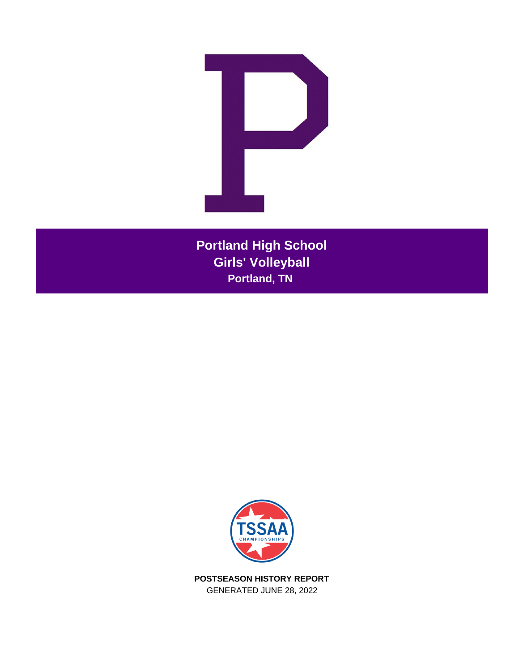

**Portland High School Girls' Volleyball Portland, TN** 



**POSTSEASON HISTORY REPORT** GENERATED JUNE 28, 2022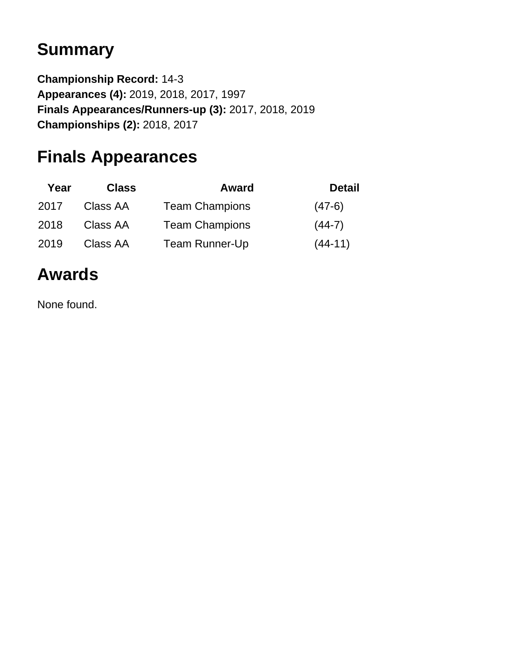# **Summary**

**Championship Record:** 14-3 **Appearances (4):** 2019, 2018, 2017, 1997 **Finals Appearances/Runners-up (3):** 2017, 2018, 2019 **Championships (2):** 2018, 2017

# **Finals Appearances**

| Year | <b>Class</b> | <b>Award</b>          | <b>Detail</b> |
|------|--------------|-----------------------|---------------|
| 2017 | Class AA     | <b>Team Champions</b> | $(47-6)$      |
| 2018 | Class AA     | <b>Team Champions</b> | $(44-7)$      |
| 2019 | Class AA     | <b>Team Runner-Up</b> | $(44-11)$     |

# **Awards**

None found.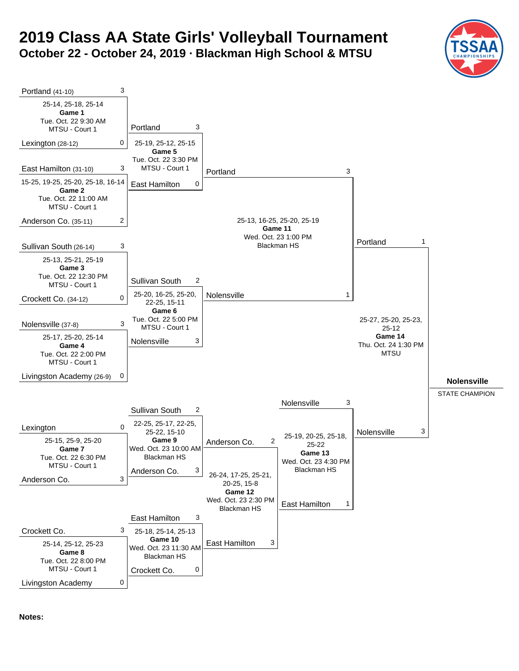# **2019 Class AA State Girls' Volleyball Tournament October 22 - October 24, 2019 · Blackman High School & MTSU**





**Notes:**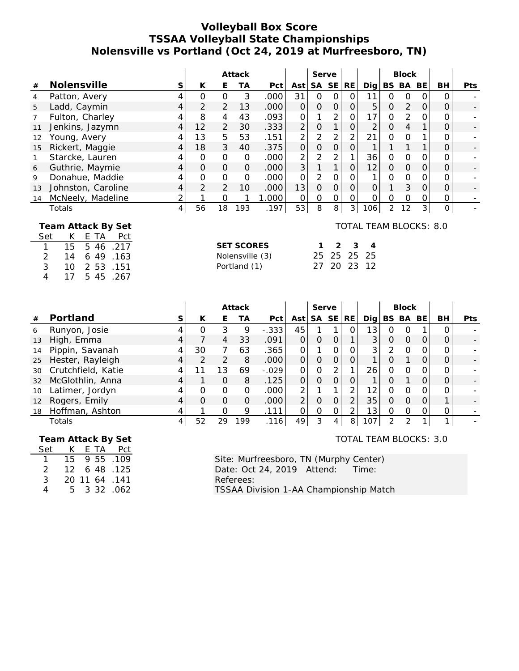#### **Volleyball Box Score TSSAA Volleyball State Championships Nolensville vs Portland (Oct 24, 2019 at Murfreesboro, TN)**

|                                                                                 |                            | Attack         |                |                |                   | Serve |                |                |              |                     | <b>Block</b>   |                |               |          |          |            |
|---------------------------------------------------------------------------------|----------------------------|----------------|----------------|----------------|-------------------|-------|----------------|----------------|--------------|---------------------|----------------|----------------|---------------|----------|----------|------------|
| #                                                                               | Nolensville                | S              | K              | Е              | ТA                | Pct   | Ast            | <b>SA</b>      | <b>SE</b>    | RE.                 | Dig            |                | BS BA         | BE       | BH       | <b>Pts</b> |
| 4                                                                               | Patton, Avery              | 4              | 0              | $\Omega$       | 3                 | .000  | 31             | 0              | $\Omega$     | O                   | 11             | Ο              | $\Omega$      |          | 0        |            |
| 5                                                                               | Ladd, Caymin               | 4              | 2              | 2              | 13                | .000  | $\Omega$       | $\overline{O}$ | $\mathbf{O}$ | $\mathcal{O}$       | 5              | O              | 2             | $\Omega$ | 0        |            |
|                                                                                 | Fulton, Charley            |                | 8              | 4              | 43                | .093  | 0              |                | 2            | O                   | 17             | 0              | 2             | 0        | 0        |            |
| 11                                                                              | Jenkins, Jazymn            | $\overline{4}$ | 12             | $\overline{2}$ | 30                | .333  | $\overline{2}$ | 0              |              | $\mathsf{O}\xspace$ | $\overline{2}$ | O              | 4             |          | 0        |            |
| 12                                                                              | Young, Avery               | 4              | 13             | 5              | 53                | .151  | $\overline{2}$ | 2              | 2            | $\overline{2}$      | 21             | 0              | $\Omega$      |          | ი        |            |
| 15                                                                              | Rickert, Maggie            | 4              | 18             | 3              | 40                | .375  | $\Omega$       | O              | $\Omega$     | 0                   |                |                |               |          | 0        |            |
|                                                                                 | Starcke, Lauren            | 4              | 0              | $\mathcal{O}$  | $\Omega$          | .000  | $\overline{2}$ | 2              | 2            |                     | 36             | 0              | $\Omega$      | Ο        | 0        |            |
| 6                                                                               | Guthrie, Maymie            | 4              | $\Omega$       | $\Omega$       | $\Omega$          | .000  | 3              |                | 1            | $\overline{O}$      | 12             | O              | $\Omega$      | 0        | 0        |            |
| 9                                                                               | Donahue, Maddie            | 4              | 0              | $\mathcal{O}$  | $\Omega$          | .000  | 0              | 2              | 0            | 0                   |                | 0              | $\mathcal{O}$ | Ο        | 0        |            |
| 13                                                                              | Johnston, Caroline         | 4              | $\overline{2}$ | $\overline{2}$ | 10                | .000  | 13             | 0              | $\Omega$     | $\mathcal{O}$       | 0              |                | 3             | $\Omega$ | 0        |            |
| 14                                                                              | McNeely, Madeline          | 2              |                | 0              | 1                 | 1.000 | 0              | $\mathbf 0$    | 0            | 0                   | 0              | $\Omega$       | $\mathcal{O}$ | 0        | 0        |            |
|                                                                                 | Totals                     | 4              | 56             | 18             | 193               | .197  | 53             | 8              | 8            | 3                   | 106            | $\overline{2}$ | 12            | 3        | $\Omega$ |            |
| <b>TOTAL TEAM BLOCKS: 8.0</b><br>Team Attack By Set<br>Set<br>Pct<br>E TA<br>K. |                            |                |                |                |                   |       |                |                |              |                     |                |                |               |          |          |            |
|                                                                                 | 15<br>5 46<br>217          |                |                |                | <b>SET SCORES</b> |       |                |                |              | 3                   |                |                |               |          |          |            |
|                                                                                 | 2<br>49<br>.163<br>14<br>6 |                |                |                | Nolensville (3)   |       |                | 25             | 25           | 25                  | 25             |                |               |          |          |            |

|    |                    |   | Attack   |          |     |         | Serve          |          |                |          |                 | <b>Block</b>  |          |     |          |            |
|----|--------------------|---|----------|----------|-----|---------|----------------|----------|----------------|----------|-----------------|---------------|----------|-----|----------|------------|
| #  | Portland           | S | К        | E        | ТA  | Pct     | Ast            | SA       | SE             | RE.      | Diq             |               | BS BA    | BE. | BH.      | <b>Pts</b> |
| 6  | Runyon, Josie      |   |          | 3        | 9   | $-.333$ | 45             |          |                | O        | 13 <sub>1</sub> | Ο             |          |     |          |            |
| 13 | High, Emma         |   |          | 4        | 33  | .091    | $\Omega$       | O        | $\Omega$       |          | 3               | $\Omega$      | $\Omega$ | O   | $\Omega$ |            |
| 14 | Pippin, Savanah    |   | 30       |          | 63  | .365    | $\Omega$       |          | $\Omega$       | O        | 3 <sup>1</sup>  | $\mathcal{P}$ | 0        | Ω   | $\Omega$ |            |
| 25 | Hester, Rayleigh   |   |          | 2        | 8   | .000    | $\overline{O}$ | $\Omega$ | $\Omega$       | $\Omega$ |                 | $\Omega$      |          | O   | $\Omega$ |            |
| 30 | Crutchfield, Katie |   | 11       | 13       | 69  | $-.029$ | $\Omega$       | O        |                |          | 26              | $\Omega$      | Ω        | Ω   | $\Omega$ |            |
| 32 | McGlothlin, Anna   | 4 |          | $\Omega$ | 8   | .125    | $\Omega$       | O        | $\Omega$       | 0        |                 | Ω             |          | 0   | $\Omega$ |            |
| 10 | Latimer, Jordyn    |   | O        | $\Omega$ | Ο   | .000    | 2              |          |                | 2        | 12              | O             | Ω        | Ω   | $\Omega$ |            |
| 12 | Rogers, Emily      | 4 | $\Omega$ | $\Omega$ | O   | .000    | $\overline{2}$ | $\Omega$ | $\Omega$       | 2        | 35              | $\Omega$      | $\Omega$ | O   |          |            |
| 18 | Hoffman, Ashton    |   |          | O        | 9   | .111    | $\Omega$       | O        | 0              |          | 13 <sub>1</sub> | O             | Ω        |     | 0        |            |
|    | Totals             | 4 | 52       | 29       | 199 | .116    | 49             | 3        | $\overline{4}$ | 8        | 107             | $\mathcal{P}$ | ⌒        |     |          |            |
|    |                    |   |          |          |     |         |                |          |                |          |                 |               |          |     |          |            |

 **Team Attack By Set**

3 10 2 53 .151 4 17 5 45 .267

Set K E TA Pct 1 15 9 55 .109 2 12 6 48 .125 3 20 11 64 .141 4 5 3 3 2 .06 2

TOTAL TEAM BLOCKS: 3.0

Site: Murfreesboro, TN (Murphy Center) Date: Oct 24, 2019 Attend: Time: Referees: TSSAA Division 1-AA Championship Match

Portland (1) 27 20 23 12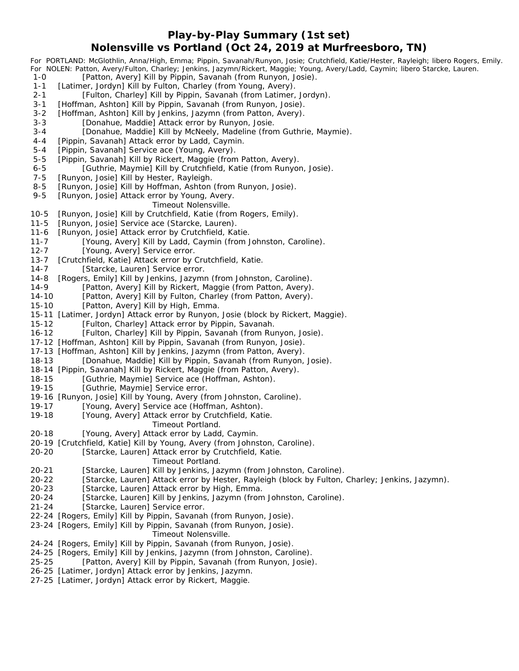#### **Play-by-Play Summary (1st set) Nolensville vs Portland (Oct 24, 2019 at Murfreesboro, TN)**

*For PORTLAND: McGlothlin, Anna/High, Emma; Pippin, Savanah/Runyon, Josie; Crutchfield, Katie/Hester, Rayleigh; libero Rogers, Emily. For NOLEN: Patton, Avery/Fulton, Charley; Jenkins, Jazymn/Rickert, Maggie; Young, Avery/Ladd, Caymin; libero Starcke, Lauren.* 1-0 [Patton, Avery] Kill by Pippin, Savanah (from Runyon, Josie). 1-1 [Latimer, Jordyn] Kill by Fulton, Charley (from Young, Avery). 2-1 [Fulton, Charley] Kill by Pippin, Savanah (from Latimer, Jordyn). 3-1 [Hoffman, Ashton] Kill by Pippin, Savanah (from Runyon, Josie). 3-2 [Hoffman, Ashton] Kill by Jenkins, Jazymn (from Patton, Avery). 3-3 [Donahue, Maddie] Attack error by Runyon, Josie. 3-4 [Donahue, Maddie] Kill by McNeely, Madeline (from Guthrie, Maymie). 4-4 [Pippin, Savanah] Attack error by Ladd, Caymin. 5-4 [Pippin, Savanah] Service ace (Young, Avery). 5-5 [Pippin, Savanah] Kill by Rickert, Maggie (from Patton, Avery). 6 - 5 [Guthrie, Maymie] Kill by Crutchfield, Katie (from Runyon, Josie). 7-5 [Runyon, Josie] Kill by Hester, Rayleigh. 8-5 [Runyon, Josie] Kill by Hoffman, Ashton (from Runyon, Josie). 9-5 [Runyon, Josie] Attack error by Young, Avery. *Timeout Nolensville.* 10-5 [Runyon, Josie] Kill by Crutchfield, Katie (from Rogers, Emily). 11-5 [Runyon, Josie] Service ace (Starcke, Lauren). 11-6 [Runyon, Josie] Attack error by Crutchfield, Katie. 11-7 [Young, Avery] Kill by Ladd, Caymin (from Johnston, Caroline). 12-7 [Young, Avery] Service error. 13-7 [Crutchfield, Katie] Attack error by Crutchfield, Katie. 14-7 [Starcke, Lauren] Service error. 14-8 [Rogers, Emily] Kill by Jenkins, Jazymn (from Johnston, Caroline). 14-9 [Patton, Avery] Kill by Rickert, Maggie (from Patton, Avery). 14-10 [Patton, Avery] Kill by Fulton, Charley (from Patton, Avery). 15-10 [Patton, Avery] Kill by High, Emma. 15-11 [Latimer, Jordyn] Attack error by Runyon, Josie (block by Rickert, Maggie). 15-12 [Fulton, Charley] Attack error by Pippin, Savanah. 16-12 [Fulton, Charley] Kill by Pippin, Savanah (from Runyon, Josie). 17-12 [Hoffman, Ashton] Kill by Pippin, Savanah (from Runyon, Josie). 17-13 [Hoffman, Ashton] Kill by Jenkins, Jazymn (from Patton, Avery). 18-13 [Donahue, Maddie] Kill by Pippin, Savanah (from Runyon, Josie). 18-14 [Pippin, Savanah] Kill by Rickert, Maggie (from Patton, Avery). 18-15 [Guthrie, Maymie] Service ace (Hoffman, Ashton). 19-15 [Guthrie, Maymie] Service error. 19-16 [Runyon, Josie] Kill by Young, Avery (from Johnston, Caroline). 19-17 [Young, Avery] Service ace (Hoffman, Ashton). 19-18 [Young, Avery] Attack error by Crutchfield, Katie. *Timeout Portland.* 20-18 [Young, Avery] Attack error by Ladd, Caymin. 20-19 [Crutchfield, Katie] Kill by Young, Avery (from Johnston, Caroline). 20-20 [Starcke, Lauren] Attack error by Crutchfield, Katie. *Timeout Portland.* 20-21 [Starcke, Lauren] Kill by Jenkins, Jazymn (from Johnston, Caroline). 20-22 [Starcke, Lauren] Attack error by Hester, Rayleigh (block by Fulton, Charley; Jenkins, Jazymn). 20-23 [Starcke, Lauren] Attack error by High, Emma. 20-24 [Starcke, Lauren] Kill by Jenkins, Jazymn (from Johnston, Caroline). 21-24 [Starcke, Lauren] Service error. 22-24 [Rogers, Emily] Kill by Pippin, Savanah (from Runyon, Josie). 23-24 [Rogers, Emily] Kill by Pippin, Savanah (from Runyon, Josie). *Timeout Nolensville.* 24-24 [Rogers, Emily] Kill by Pippin, Savanah (from Runyon, Josie). 24-25 [Rogers, Emily] Kill by Jenkins, Jazymn (from Johnston, Caroline). 25-25 [Patton, Avery] Kill by Pippin, Savanah (from Runyon, Josie). 26-25 [Latimer, Jordyn] Attack error by Jenkins, Jazymn. 27-25 [Latimer, Jordyn] Attack error by Rickert, Maggie.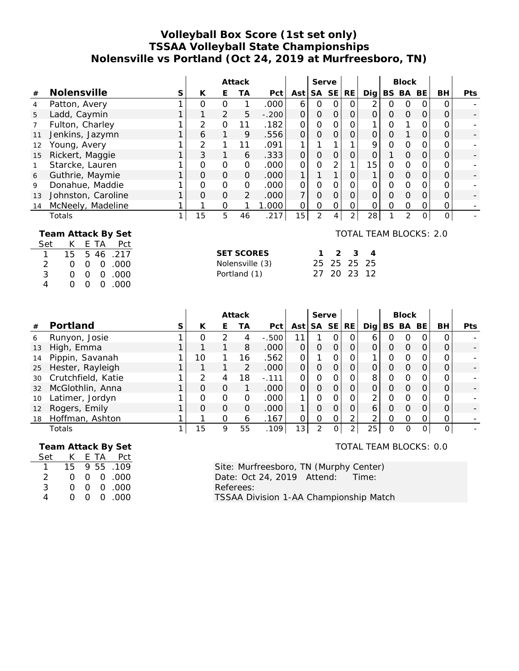### **Volleyball Box Score (1st set only) TSSAA Volleyball State Championships Nolensville vs Portland (Oct 24, 2019 at Murfreesboro, TN)**

|    |                                              | Attack |          |               |                | Serve   |                |   |          |                | <b>Block</b>   |   |          |          |          |            |
|----|----------------------------------------------|--------|----------|---------------|----------------|---------|----------------|---|----------|----------------|----------------|---|----------|----------|----------|------------|
| #  | Nolensville                                  | S      | K        | Е             | ТA             | Pct     | Ast            |   | SA SE    | RE.            | Digl           |   | BS BA    | BE       | BH       | <b>Pts</b> |
| 4  | Patton, Avery                                |        | O        | $\Omega$      |                | .000    | 6              | 0 |          | O              | 2              | 0 | O        |          | Ω        |            |
| 5  | Ladd, Caymin                                 |        |          | 2             | 5              | $-.200$ | $\Omega$       | 0 |          | $\mathcal{O}$  | $\Omega$       | 0 | $\Omega$ | O        | 0        |            |
|    | Fulton, Charley                              |        | 2        | $\Omega$      | 11             | .182    | $\Omega$       | 0 | O        | 0              |                | Ω |          | Ω        |          |            |
| 11 | Jenkins, Jazymn                              |        | 6        |               | 9              | .556    | $\overline{O}$ | 0 | $\Omega$ | 0              | $\overline{O}$ | O |          | O        | 0        |            |
| 12 | Young, Avery                                 |        | 2        |               | 11             | .091    | 1              |   |          |                | 9              | O | $\Omega$ | O        |          |            |
| 15 | Rickert, Maggie                              |        | 3        |               | 6              | .333    | $\mathcal{O}$  | 0 | $\Omega$ | 0              | $\Omega$       |   | $\Omega$ | O        | Ο        |            |
|    | Starcke, Lauren                              |        | $\Omega$ | 0             | $\Omega$       | .000    | $\Omega$       | 0 |          |                | 15             | Ω | $\Omega$ | Ω        | 0        |            |
| 6  | Guthrie, Maymie                              |        | $\Omega$ | $\Omega$      | $\Omega$       | .000    | 1              |   |          | 0              |                | 0 | $\Omega$ | $\Omega$ | O        |            |
| 9  | Donahue, Maddie                              |        | $\Omega$ | $\mathcal{O}$ | $\Omega$       | .000    | $\Omega$       | 0 | O        | 0              | $\Omega$       | Ω | $\Omega$ | Ο        |          |            |
| 13 | Johnston, Caroline                           |        | $\Omega$ | $\mathcal{O}$ | $\overline{2}$ | .000    | 7              | 0 |          | 0              | $\Omega$       | 0 | $\Omega$ | O        | Ο        |            |
| 14 | McNeely, Madeline                            |        |          | 0             |                | 000.1   | $\Omega$       | 0 | O        | 0              | 0              | 0 | $\Omega$ | Ο        | 0        |            |
|    | Totals                                       |        | 15       | 5             | 46             | .217    | 15             | 2 |          | $\overline{2}$ | 28             |   | 2        | 0        | $\Omega$ |            |
|    | TOTAL TEAM BLOCKS: 2.0<br>Team Attack By Set |        |          |               |                |         |                |   |          |                |                |   |          |          |          |            |

|  |  | Set K E TA Pct |                   |  |             |  |
|--|--|----------------|-------------------|--|-------------|--|
|  |  | 1 15 5 46 .217 | <b>SET SCORES</b> |  | 1 2 3 4     |  |
|  |  | 2 0 0 0 0 00   | Nolensville (3)   |  | 25 25 25 25 |  |
|  |  | 3 0 0 0 0 000  | Portland (1)      |  | 27 20 23 12 |  |
|  |  | 4 0 0 0 0 000  |                   |  |             |  |

|                   |                    | Attack |          |          |          |          | Serve           |          |           |                |               | <b>Block</b> |          |         |    |      |
|-------------------|--------------------|--------|----------|----------|----------|----------|-----------------|----------|-----------|----------------|---------------|--------------|----------|---------|----|------|
| #                 | Portland           | S      | К        | E.       | ТA       | Pct      | Ast             | . SA     | <b>SE</b> | RE.            | Dia l         |              | BS BA    | BE.     | BH | Pts. |
| 6                 | Runyon, Josie      |        | Ο        | 2        | 4        | $-0.500$ |                 |          |           | 0              | 6             | O            | 0        | O       | ი  |      |
| 13                | High, Emma         |        |          |          | 8        | .000     |                 | 0        | $\Omega$  |                |               | Ο            | $\Omega$ |         |    |      |
| 14                | Pippin, Savanah    |        | 10       |          | 16       | .562     | 0               |          |           | 0              |               | 0            |          |         |    |      |
| 25                | Hester, Rayleigh   |        |          |          | 2        | .000     | $\Omega$        | $\Omega$ | $\Omega$  | $\Omega$       |               | 0            | $\Omega$ | Ο       |    |      |
| 30                | Crutchfield, Katie |        | っ        | 4        | 18       | $-.111$  | ∩               | Ω        | $\Omega$  | $\Omega$       | 8             | O            |          |         |    |      |
| 32                | McGlothlin, Anna   |        | $\Omega$ | $\Omega$ |          | .000     | $\Omega$        | $\Omega$ | $\Omega$  | $\Omega$       |               | Ω            | $\Omega$ |         |    |      |
| 10                | Latimer, Jordyn    |        | $\Omega$ | $\Omega$ | $\Omega$ | .000     |                 | O        | $\Omega$  | 0              | $\mathcal{P}$ | O            | $\Omega$ | Ω       | Ω  |      |
| $12 \overline{ }$ | Rogers, Emily      |        | $\Omega$ | $\Omega$ | $\Omega$ | .000     |                 | O        | $\Omega$  | 0              | 6             | Ω            | $\Omega$ | 0       |    |      |
| 18                | Hoffman, Ashton    |        |          | ∩        | 6        | .167     |                 | Ω        | O         | ⌒              | $\mathcal{P}$ | Ο            | $\Omega$ |         | Ο  |      |
|                   | Totals             |        | 15       | 9        | 55       | .109     | 13 <sub>1</sub> | 2        |           | $\overline{2}$ | 25            | O            | $\Omega$ | $\circ$ | 0  |      |

|     |                  |          |      | Team Attack By Set |
|-----|------------------|----------|------|--------------------|
| Set | K.               |          | E TA | Pct                |
|     | 15               |          |      | 9 55 109           |
| 2   | $\cap$           |          |      | 00.00              |
| 3   | $\left( \right)$ | $\Omega$ |      | 0.000              |
| Δ   | $\left( \right)$ | $\cap$   |      | 0.000              |

TOTAL TEAM BLOCKS: 0.0

Site: Murfreesboro, TN (Murphy Center) Date: Oct 24, 2019 Attend: Time: Referees: TSSAA Division 1-AA Championship Match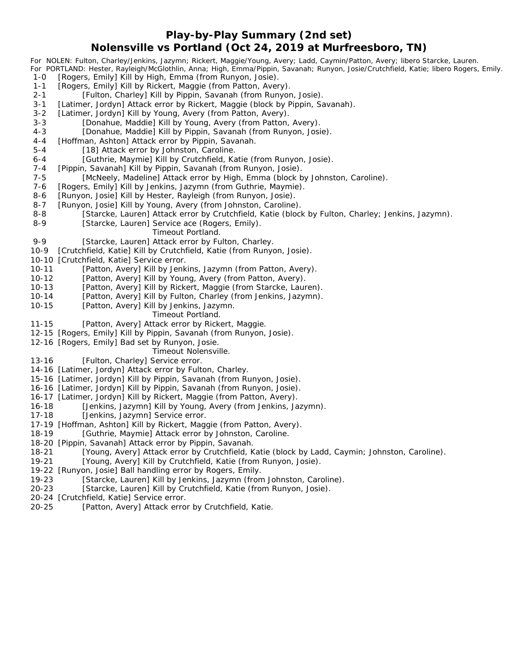#### **Play-by-Play Summary (2nd set) Nolensville vs Portland (Oct 24, 2019 at Murfreesboro, TN)**

*For NOLEN: Fulton, Charley/Jenkins, Jazymn; Rickert, Maggie/Young, Avery; Ladd, Caymin/Patton, Avery; libero Starcke, Lauren. For PORTLAND: Hester, Rayleigh/McGlothlin, Anna; High, Emma/Pippin, Savanah; Runyon, Josie/Crutchfield, Katie; libero Rogers, Emily.*

- 1-0 [Rogers, Emily] Kill by High, Emma (from Runyon, Josie).
- 1-1 [Rogers, Emily] Kill by Rickert, Maggie (from Patton, Avery).
- 2-1 [Fulton, Charley] Kill by Pippin, Savanah (from Runyon, Josie).
- 3-1 [Latimer, Jordyn] Attack error by Rickert, Maggie (block by Pippin, Savanah).
- 3-2 [Latimer, Jordyn] Kill by Young, Avery (from Patton, Avery).
- 3-3 [Donahue, Maddie] Kill by Young, Avery (from Patton, Avery).
- 4-3 [Donahue, Maddie] Kill by Pippin, Savanah (from Runyon, Josie).
- 4-4 [Hoffman, Ashton] Attack error by Pippin, Savanah.
- 5-4 [18] Attack error by Johnston, Caroline.
- 6 4 [Guthrie, Maymie] Kill by Crutchfield, Katie (from Runyon, Josie).
- 7-4 [Pippin, Savanah] Kill by Pippin, Savanah (from Runyon, Josie).
- 7-5 [McNeely, Madeline] Attack error by High, Emma (block by Johnston, Caroline).
- 7-6 [Rogers, Emily] Kill by Jenkins, Jazymn (from Guthrie, Maymie).
- 8-6 [Runyon, Josie] Kill by Hester, Rayleigh (from Runyon, Josie).
- 8-7 [Runyon, Josie] Kill by Young, Avery (from Johnston, Caroline).
- 8-8 [Starcke, Lauren] Attack error by Crutchfield, Katie (block by Fulton, Charley; Jenkins, Jazymn). 8-9 [Starcke, Lauren] Service ace (Rogers, Emily).
	- *Timeout Portland.*
- 9-9 [Starcke, Lauren] Attack error by Fulton, Charley.
- 10-9 [Crutchfield, Katie] Kill by Crutchfield, Katie (from Runyon, Josie).
- 10-10 [Crutchfield, Katie] Service error.
- 10-11 [Patton, Avery] Kill by Jenkins, Jazymn (from Patton, Avery).
- 10-12 [Patton, Avery] Kill by Young, Avery (from Patton, Avery).
- 10-13 [Patton, Avery] Kill by Rickert, Maggie (from Starcke, Lauren).
- 10-14 [Patton, Avery] Kill by Fulton, Charley (from Jenkins, Jazymn).
- 10-15 [Patton, Avery] Kill by Jenkins, Jazymn.
	- *Timeout Portland.*
- 11-15 [Patton, Avery] Attack error by Rickert, Maggie.
- 12-15 [Rogers, Emily] Kill by Pippin, Savanah (from Runyon, Josie).
- 12-16 [Rogers, Emily] Bad set by Runyon, Josie.

#### *Timeout Nolensville.*

- 13-16 [Fulton, Charley] Service error.
- 14-16 [Latimer, Jordyn] Attack error by Fulton, Charley.
- 15-16 [Latimer, Jordyn] Kill by Pippin, Savanah (from Runyon, Josie).
- 16-16 [Latimer, Jordyn] Kill by Pippin, Savanah (from Runyon, Josie).
- 16-17 [Latimer, Jordyn] Kill by Rickert, Maggie (from Patton, Avery).
- 16-18 [Jenkins, Jazymn] Kill by Young, Avery (from Jenkins, Jazymn).
- 17-18 [Jenkins, Jazymn] Service error.
- 17-19 [Hoffman, Ashton] Kill by Rickert, Maggie (from Patton, Avery).
- 18-19 [Guthrie, Maymie] Attack error by Johnston, Caroline.
- 18-20 [Pippin, Savanah] Attack error by Pippin, Savanah.
- 18-21 [Young, Avery] Attack error by Crutchfield, Katie (block by Ladd, Caymin; Johnston, Caroline).
- 19-21 [Young, Avery] Kill by Crutchfield, Katie (from Runyon, Josie).
- 19-22 [Runyon, Josie] Ball handling error by Rogers, Emily.
- 19-23 [Starcke, Lauren] Kill by Jenkins, Jazymn (from Johnston, Caroline).
- 20-23 [Starcke, Lauren] Kill by Crutchfield, Katie (from Runyon, Josie).
- 20-24 [Crutchfield, Katie] Service error.
- 20-25 [Patton, Avery] Attack error by Crutchfield, Katie.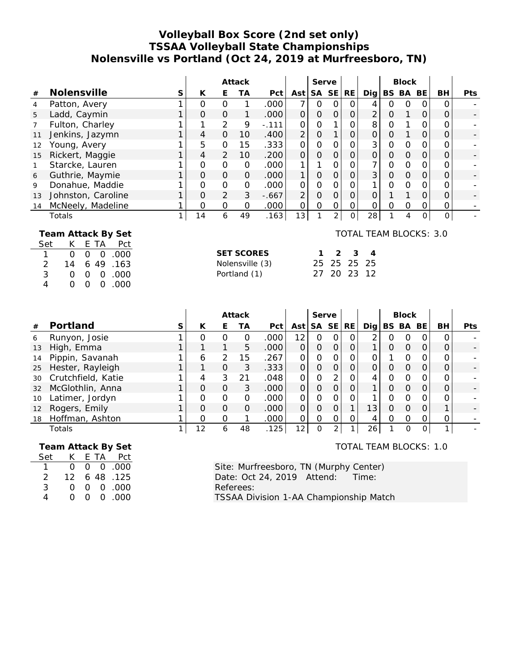## **Volleyball Box Score (2nd set only) TSSAA Volleyball State Championships Nolensville vs Portland (Oct 24, 2019 at Murfreesboro, TN)**

|    |                                              | Attack |          |                |          | Serve   |                |          |                |    | <b>Block</b>   |   |          |          |          |            |
|----|----------------------------------------------|--------|----------|----------------|----------|---------|----------------|----------|----------------|----|----------------|---|----------|----------|----------|------------|
| #  | Nolensville                                  | S      | K        | Е              | ТA       | Pct     | Ast            |          | SA SE          | RE | Dig            |   | BS BA    | BE       | BH       | <b>Pts</b> |
| 4  | Patton, Avery                                |        | O        | $\Omega$       |          | .000    | 7              | O        |                | Ω  | 4              | Ο | ∩        |          | Ω        |            |
| 5  | Ladd, Caymin                                 |        | $\Omega$ | $\Omega$       |          | .000    | $\overline{O}$ | 0        | $\mathcal{O}$  | 0  | $\overline{2}$ | 0 |          | 0        | 0        |            |
|    | Fulton, Charley                              |        |          | 2              | 9        | $-.111$ | Ο              | 0        |                | 0  | 8              | 0 |          | Ω        |          |            |
| 11 | Jenkins, Jazymn                              |        | 4        | $\Omega$       | 10       | .400    | $\overline{2}$ | 0        |                | O  | $\Omega$       | Ο |          | O        |          |            |
| 12 | Young, Avery                                 |        | 5        | $\mathcal{O}$  | 15       | .333    | $\Omega$       | 0        | $\Omega$       | Ο  | 3              | 0 | $\Omega$ | O        |          |            |
| 15 | Rickert, Maggie                              |        | 4        | 2              | 10       | .200    | $\Omega$       | $\Omega$ | O              | 0  | $\Omega$       | O | $\Omega$ | $\Omega$ | Ο        |            |
|    | Starcke, Lauren                              |        | $\Omega$ | $\Omega$       | $\Omega$ | .000    | $\mathbf{1}$   | 1        | $\Omega$       | 0  | 7              | O | $\Omega$ | Ο        |          |            |
| 6  | Guthrie, Maymie                              |        | $\Omega$ | $\mathcal{O}$  | $\Omega$ | .000    | 1              | 0        | $\Omega$       | 0  | 3              | O | $\Omega$ | $\Omega$ | 0        |            |
| 9  | Donahue, Maddie                              |        | 0        | $\mathcal{O}$  | 0        | .000    | $\Omega$       | 0        | $\Omega$       | Ο  |                | Ω | $\Omega$ | O        |          |            |
| 13 | Johnston, Caroline                           |        | $\Omega$ | $\overline{2}$ | 3        | $-.667$ | $\overline{2}$ | 0        | $\Omega$       | O  | $\Omega$       |   |          | O        | 0        |            |
| 14 | McNeely, Madeline                            |        | Ο        | $\Omega$       | $\Omega$ | .000    | $\Omega$       | 0        | Ω              | Ω  | $\Omega$       | Ω | $\Omega$ | Ω        | 0        |            |
|    | Totals                                       |        | 14       | 6              | 49       | .163    | 13             |          | $\overline{2}$ | 0  | 28             |   | 4        | 0        | $\Omega$ |            |
|    | TOTAL TEAM BLOCKS: 3.0<br>Team Attack By Set |        |          |                |          |         |                |          |                |    |                |   |          |          |          |            |

| Set K E TA Pct |  |                               |                   |                 |  |
|----------------|--|-------------------------------|-------------------|-----------------|--|
|                |  | 1 0 0 0 0 000                 | <b>SET SCORES</b> | $1 \t2 \t3 \t4$ |  |
|                |  | 2 14 6 49 163                 | Nolensville (3)   | 25 25 25 25     |  |
|                |  | 3 0 0 0 0 000                 | Portland (1)      | 27 20 23 12     |  |
|                |  | $0 \quad 0 \quad 0 \quad 000$ |                   |                 |  |

|                   |                    |    | Attack   |          |          |      |                 | Serve    |           |              |     |   | <b>Block</b> |     |    |            |
|-------------------|--------------------|----|----------|----------|----------|------|-----------------|----------|-----------|--------------|-----|---|--------------|-----|----|------------|
| #                 | Portland           | S. | К        | E.       | ТA       | Pct  | Ast             | . SA     | <b>SE</b> | <b>RE</b>    | Dig |   | BS BA        | BE. | BH | <b>Pts</b> |
| 6                 | Runyon, Josie      |    | $\Omega$ | O        | 0        | .000 | 12              | 0        | 0         | $\Omega$     | 2   | Ω | O            | Ω   | Ω  |            |
| 13                | High, Emma         |    |          |          | 5        | .000 |                 | O        | $\Omega$  | O            |     | 0 | $\Omega$     | Ο   |    |            |
| 14                | Pippin, Savanah    |    | 6        | 2        | 15       | .267 |                 | 0        |           | $\Omega$     |     |   |              |     |    |            |
| 25                | Hester, Rayleigh   |    |          | $\Omega$ | 3        | .333 | $\Omega$        | $\Omega$ | $\Omega$  | O            | 0   | 0 | $\Omega$     | Ο   |    |            |
| 30                | Crutchfield, Katie |    | 4        | 3        | 21       | .048 | ∩               | 0        | 2         | $\Omega$     |     | O |              |     |    |            |
| 32                | McGlothlin, Anna   |    | $\Omega$ | $\Omega$ | 3        | .000 | $\Omega$        | $\Omega$ | $\Omega$  | $\Omega$     |     | Ω | $\Omega$     | Ω   |    |            |
| 10                | Latimer, Jordyn    |    | $\Omega$ | $\Omega$ | $\Omega$ | .000 | $\Omega$        | O        | $\Omega$  | 0            |     | O | $\Omega$     | Ω   | Ω  |            |
| $12 \overline{ }$ | Rogers, Emily      |    | $\Omega$ | $\Omega$ | $\Omega$ | .000 | $\Omega$        | 0        | $\Omega$  | $\mathbf{1}$ | 13  | 0 | $\Omega$     | Ο   |    |            |
| 18                | Hoffman, Ashton    |    | $\Omega$ | $\Omega$ |          | .000 | $\Omega$        | O        | O         | 0            | 4   | 0 | $\Omega$     |     | 0  |            |
|                   | Totals             |    | 12       | 6        | 48       | .125 | 12 <sub>1</sub> | $\Omega$ | 2         |              | 26  |   | $\Omega$     | 0   |    |            |

|     |                  |    | Team Attack By Set   |
|-----|------------------|----|----------------------|
| Set | K.               |    | E TA Pct             |
|     | $\Omega$         |    | $0\quad 0\quad .000$ |
| 2   | 12.              |    | 6 48 .125            |
| 3   | $\mathcal{L}$    | O. | 0.000                |
| Δ   | $\left( \right)$ |    | 00.000               |

TOTAL TEAM BLOCKS: 1.0

Site: Murfreesboro, TN (Murphy Center) Date: Oct 24, 2019 Attend: Time: Referees: TSSAA Division 1-AA Championship Match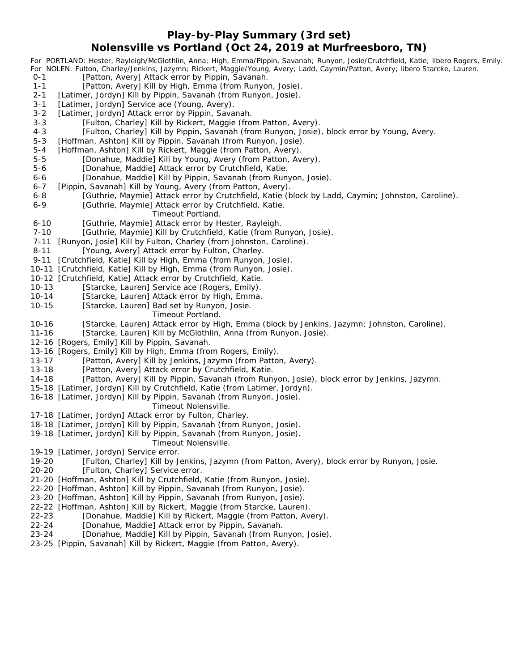#### **Play-by-Play Summary (3rd set) Nolensville vs Portland (Oct 24, 2019 at Murfreesboro, TN)**

*For PORTLAND: Hester, Rayleigh/McGlothlin, Anna; High, Emma/Pippin, Savanah; Runyon, Josie/Crutchfield, Katie; libero Rogers, Emily. For NOLEN: Fulton, Charley/Jenkins, Jazymn; Rickert, Maggie/Young, Avery; Ladd, Caymin/Patton, Avery; libero Starcke, Lauren.* [Patton, Avery] Attack error by Pippin, Savanah. 1-1 [Patton, Avery] Kill by High, Emma (from Runyon, Josie). 2-1 [Latimer, Jordyn] Kill by Pippin, Savanah (from Runyon, Josie). 3-1 [Latimer, Jordyn] Service ace (Young, Avery). 3-2 [Latimer, Jordyn] Attack error by Pippin, Savanah. 3-3 [Fulton, Charley] Kill by Rickert, Maggie (from Patton, Avery). 4-3 [Fulton, Charley] Kill by Pippin, Savanah (from Runyon, Josie), block error by Young, Avery. 5-3 [Hoffman, Ashton] Kill by Pippin, Savanah (from Runyon, Josie). 5-4 [Hoffman, Ashton] Kill by Rickert, Maggie (from Patton, Avery). 5-5 [Donahue, Maddie] Kill by Young, Avery (from Patton, Avery). 5-6 [Donahue, Maddie] Attack error by Crutchfield, Katie. 6-6 [Donahue, Maddie] Kill by Pippin, Savanah (from Runyon, Josie). 6-7 [Pippin, Savanah] Kill by Young, Avery (from Patton, Avery). 6-8 [Guthrie, Maymie] Attack error by Crutchfield, Katie (block by Ladd, Caymin; Johnston, Caroline). 6-9 [Guthrie, Maymie] Attack error by Crutchfield, Katie. *Timeout Portland.* 6-10 [Guthrie, Maymie] Attack error by Hester, Rayleigh. 7-10 [Guthrie, Maymie] Kill by Crutchfield, Katie (from Runyon, Josie). 7-11 [Runyon, Josie] Kill by Fulton, Charley (from Johnston, Caroline). 8-11 [Young, Avery] Attack error by Fulton, Charley. 9-11 [Crutchfield, Katie] Kill by High, Emma (from Runyon, Josie). 10-11 [Crutchfield, Katie] Kill by High, Emma (from Runyon, Josie). 10-12 [Crutchfield, Katie] Attack error by Crutchfield, Katie. 10-13 [Starcke, Lauren] Service ace (Rogers, Emily). 10-14 [Starcke, Lauren] Attack error by High, Emma. 10-15 [Starcke, Lauren] Bad set by Runyon, Josie. *Timeout Portland.* 10-16 [Starcke, Lauren] Attack error by High, Emma (block by Jenkins, Jazymn; Johnston, Caroline). 11-16 [Starcke, Lauren] Kill by McGlothlin, Anna (from Runyon, Josie). 12-16 [Rogers, Emily] Kill by Pippin, Savanah. 13-16 [Rogers, Emily] Kill by High, Emma (from Rogers, Emily). 13-17 [Patton, Avery] Kill by Jenkins, Jazymn (from Patton, Avery). 13-18 [Patton, Avery] Attack error by Crutchfield, Katie. 14-18 [Patton, Avery] Kill by Pippin, Savanah (from Runyon, Josie), block error by Jenkins, Jazymn. 15-18 [Latimer, Jordyn] Kill by Crutchfield, Katie (from Latimer, Jordyn). 16-18 [Latimer, Jordyn] Kill by Pippin, Savanah (from Runyon, Josie). *Timeout Nolensville.* 17-18 [Latimer, Jordyn] Attack error by Fulton, Charley. 18-18 [Latimer, Jordyn] Kill by Pippin, Savanah (from Runyon, Josie). 19-18 [Latimer, Jordyn] Kill by Pippin, Savanah (from Runyon, Josie). *Timeout Nolensville.* 19-19 [Latimer, Jordyn] Service error. 19-20 [Fulton, Charley] Kill by Jenkins, Jazymn (from Patton, Avery), block error by Runyon, Josie. 20-20 [Fulton, Charley] Service error. 21-20 [Hoffman, Ashton] Kill by Crutchfield, Katie (from Runyon, Josie). 22-20 [Hoffman, Ashton] Kill by Pippin, Savanah (from Runyon, Josie). 23-20 [Hoffman, Ashton] Kill by Pippin, Savanah (from Runyon, Josie). 22-22 [Hoffman, Ashton] Kill by Rickert, Maggie (from Starcke, Lauren). 22-23 [Donahue, Maddie] Kill by Rickert, Maggie (from Patton, Avery). 22-24 [Donahue, Maddie] Attack error by Pippin, Savanah. 23-24 [Donahue, Maddie] Kill by Pippin, Savanah (from Runyon, Josie). 23-25 [Pippin, Savanah] Kill by Rickert, Maggie (from Patton, Avery).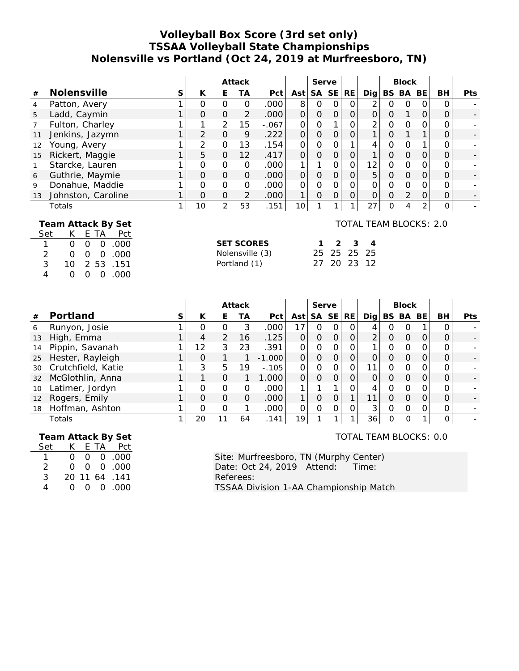#### **Volleyball Box Score (3rd set only) TSSAA Volleyball State Championships Nolensville vs Portland (Oct 24, 2019 at Murfreesboro, TN)**

|                    |                                                                                                                                                                                                 |              | Attack         |                                                                                   |                |          |                | Serve          |                |                |                                                                 | <b>Block</b>   |                     |                     |                     |     |
|--------------------|-------------------------------------------------------------------------------------------------------------------------------------------------------------------------------------------------|--------------|----------------|-----------------------------------------------------------------------------------|----------------|----------|----------------|----------------|----------------|----------------|-----------------------------------------------------------------|----------------|---------------------|---------------------|---------------------|-----|
| $^{\#}$            | Nolensville                                                                                                                                                                                     | S            | К              | E                                                                                 | <b>TA</b>      | Pct      | Ast            | SA             | <b>SE</b>      | <b>RE</b>      | Dig                                                             |                | BS BA               | BE                  | BH                  | Pts |
| $\overline{4}$     | Patton, Avery                                                                                                                                                                                   | 1            | $\overline{O}$ | $\overline{O}$                                                                    | $\overline{O}$ | .000     | 8              | $\overline{O}$ | $\overline{O}$ | $\Omega$       | $\overline{2}$                                                  | $\Omega$       | $\overline{O}$      | $\Omega$            | $\overline{O}$      |     |
| 5                  | Ladd, Caymin                                                                                                                                                                                    | $\mathbf{1}$ | $\Omega$       | $\overline{O}$                                                                    | $\overline{2}$ | .000     | $\overline{O}$ | $\mathbf 0$    | $\mathbf 0$    | $\mathsf{O}$   | $\mathbf 0$                                                     | $\mathbf{O}$   | 1                   | $\mathbf{O}$        | $\mathbf 0$         |     |
| $\overline{7}$     | Fulton, Charley                                                                                                                                                                                 | 1            | 1              | $\overline{2}$                                                                    | 15             | $-.067$  | 0              | $\mathbf 0$    | 1              | $\mathbf{O}$   | $\overline{2}$                                                  | $\overline{O}$ | $\mathbf 0$         | 0                   | $\overline{O}$      |     |
| 11                 | Jenkins, Jazymn                                                                                                                                                                                 | 1            | $\overline{2}$ | $\overline{O}$                                                                    | 9              | .222     | $\Omega$       | $\overline{O}$ | $\Omega$       | $\overline{O}$ | $\mathbf{1}$                                                    | 0              | 1                   | 1                   | 0                   |     |
| 12                 | Young, Avery                                                                                                                                                                                    | 1            | $\overline{2}$ | $\overline{O}$                                                                    | 13             | .154     | 0              | $\Omega$       | $\Omega$       | 1              | 4                                                               | $\overline{O}$ | $\mathbf 0$         | 1                   | $\overline{O}$      |     |
| 15                 | Rickert, Maggie                                                                                                                                                                                 | $\mathbf{1}$ | 5              | $\overline{O}$                                                                    | 12             | .417     | $\overline{O}$ | $\mathbf 0$    | $\mathbf 0$    | $\mathsf{O}$   | 1                                                               | O              | $\mathbf 0$         | $\overline{O}$      | 0                   |     |
| $\mathbf{1}$       | Starcke, Lauren                                                                                                                                                                                 | 1            | $\overline{O}$ | $\overline{0}$                                                                    | $\mathbf 0$    | .000     | 1              | 1              | $\overline{O}$ | $\overline{O}$ | 12                                                              | $\overline{O}$ | $\overline{O}$      | $\overline{O}$      | $\overline{O}$      |     |
| 6                  | Guthrie, Maymie                                                                                                                                                                                 | $\mathbf{1}$ | $\Omega$       | $\overline{O}$                                                                    | $\mathcal{O}$  | .000     | $\Omega$       | $\overline{O}$ | $\overline{O}$ | $\overline{O}$ | 5                                                               | 0              | $\overline{O}$      | $\overline{O}$      | 0                   |     |
| 9                  | Donahue, Maddie                                                                                                                                                                                 | 1            | $\Omega$       | $\Omega$                                                                          | $\overline{O}$ | .000     | 0              | $\Omega$       | $\Omega$       | $\Omega$       | $\Omega$                                                        | $\Omega$       | $\Omega$            | 0                   | $\Omega$            |     |
| 13                 | Johnston, Caroline                                                                                                                                                                              | $\mathbf{1}$ | $\Omega$       | $\mathbf 0$                                                                       | $\overline{2}$ | .000     | $\mathbf{1}$   | $\overline{O}$ | $\mathbf 0$    | $\mathbf{O}$   | $\Omega$                                                        | $\overline{O}$ | $\overline{2}$      | $\mathsf O$         | 0                   |     |
|                    | Totals                                                                                                                                                                                          | 1            | 10             | $\overline{2}$                                                                    | 53             | .151     | 10             | 1              | 1              | 1              | 27                                                              | $\Omega$       | $\overline{A}$      | $\overline{2}$      | $\mathsf{O}$        |     |
| Set<br>1<br>2<br>4 | Team Attack By Set<br>E TA<br>K<br>Pct<br>$\Omega$<br>.000<br>0<br>$\mathbf 0$<br>.000<br>$\mathcal{O}$<br>$\Omega$<br>$\mathbf{0}$<br>3<br>53<br>.151<br>10<br>2<br>.000<br>$\Omega$<br>0<br>O |              |                | <b>SET SCORES</b><br>1<br>25<br>Nolensville (3)<br>25<br>20<br>27<br>Portland (1) |                |          |                |                |                |                | <b>TOTAL TEAM BLOCKS: 2.0</b><br>3<br>4<br>25<br>25<br>23<br>12 |                |                     |                     |                     |     |
|                    |                                                                                                                                                                                                 |              |                |                                                                                   | Attack         |          |                |                | Serve          |                |                                                                 |                | <b>Block</b>        |                     |                     |     |
| $^{\#}$            | Portland                                                                                                                                                                                        | S            | К              | Ε                                                                                 | <b>TA</b>      | Pct      | Ast            | SA             | <b>SE</b>      | <b>RE</b>      | Dig                                                             |                | BS BA               | BE                  | BH                  | Pts |
| 6                  | Runyon, Josie                                                                                                                                                                                   | 1            | $\overline{O}$ | $\overline{O}$                                                                    | 3              | .000     | 17             | $\overline{O}$ | $\mathcal{O}$  | $\mathbf{O}$   | 4                                                               | $\mathbf 0$    | $\mathcal{O}$       | $\mathbf{1}$        | $\overline{O}$      |     |
| 13                 | High, Emma                                                                                                                                                                                      | 1            | 4              | $\overline{2}$                                                                    | 16             | .125     | 0              | $\overline{O}$ | $\overline{O}$ | $\mathbf{O}$   | $\overline{2}$                                                  | $\mathbf 0$    | $\mathsf{O}\xspace$ | $\mathbf 0$         | $\mathbf 0$         |     |
| 14                 | Pippin, Savanah                                                                                                                                                                                 | 1            | 12             | 3                                                                                 | 23             | .391     | $\Omega$       | $\Omega$       | $\mathbf 0$    | $\mathbf 0$    | 1                                                               | $\overline{O}$ | $\mathbf 0$         | 0                   | 0                   |     |
| 25                 | Hester, Rayleigh                                                                                                                                                                                | $\mathbf{1}$ | $\overline{O}$ | $\mathbf{1}$                                                                      | 1              | $-1.000$ | 0              | $\overline{O}$ | $\mathbf 0$    | $\mathsf O$    | $\mathcal{O}$                                                   | $\mathbf 0$    | $\mathbf 0$         | $\mathbf 0$         | $\mathbf 0$         |     |
| 30                 | Crutchfield, Katie                                                                                                                                                                              | 1            | 3              | 5                                                                                 | 19             | $-0.105$ | 0              | $\overline{O}$ | $\overline{O}$ | $\mathbf 0$    | 11                                                              | $\mathbf 0$    | $\mathbf 0$         | $\mathsf{O}\xspace$ | $\mathsf{O}\xspace$ |     |
| 32                 | McGlothlin, Anna                                                                                                                                                                                | 1            | $\mathbf{1}$   | $\overline{O}$                                                                    | 1              | 1.000    | $\Omega$       | $\overline{O}$ | $\overline{O}$ | $\mathcal{O}$  | $\Omega$                                                        | 0              | $\overline{O}$      | $\overline{O}$      | $\overline{O}$      |     |
| 10                 | Latimer, Jordyn                                                                                                                                                                                 | 1            | $\Omega$       | $\Omega$                                                                          | $\mathbf 0$    | .000     | 1              | 1              | 1              | $\Omega$       | 4                                                               | $\overline{O}$ | $\mathbf 0$         | 0                   | $\overline{O}$      |     |
| 12                 | Rogers, Emily                                                                                                                                                                                   | 1            | $\Omega$       | $\overline{O}$                                                                    | $\mathbf 0$    | .000     | $\mathbf{1}$   | $\overline{O}$ | $\overline{O}$ | $\mathbf{1}$   | 11                                                              | $\mathbf 0$    | $\mathbf 0$         | $\mathsf O$         | $\mathbf 0$         |     |
| 18                 | Hoffman, Ashton                                                                                                                                                                                 | 1            | $\Omega$       | $\overline{O}$                                                                    | 1              | .000     | $\Omega$       | 0              | $\Omega$       | $\Omega$       | 3                                                               | 0              | 0                   | $\Omega$            | 0                   |     |

Totals 1 20 11 64 . 1 4 1 19 1 1 1 36 0 0 1 0 -

 **Team Attack By Set** Set K E TA Pct 1 0 0 0 . 0 0 0 2 0 0 0 . 0 0 0 3 20 11 64 .141

4 0 0 0 . 0 0 0

TOTAL TEAM BLOCKS: 0.0

Site: Murfreesboro, TN (Murphy Center) Date: Oct 24, 2019 Attend: Time: Referees: TSSAA Division 1-AA Championship Match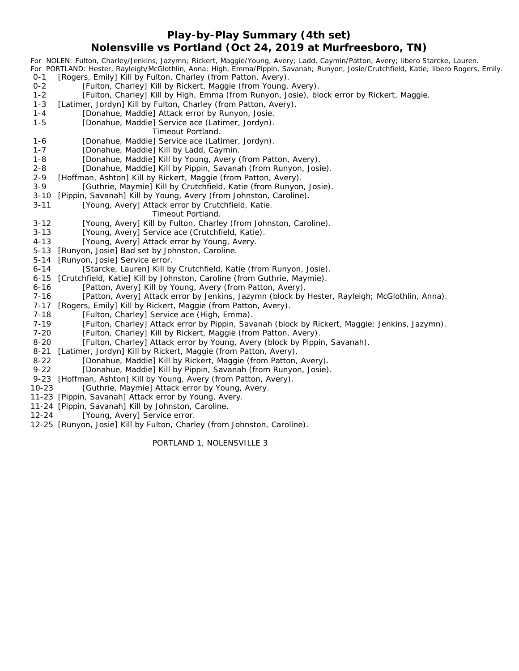#### **Play-by-Play Summary (4th set) Nolensville vs Portland (Oct 24, 2019 at Murfreesboro, TN)**

*For NOLEN: Fulton, Charley/Jenkins, Jazymn; Rickert, Maggie/Young, Avery; Ladd, Caymin/Patton, Avery; libero Starcke, Lauren. For PORTLAND: Hester, Rayleigh/McGlothlin, Anna; High, Emma/Pippin, Savanah; Runyon, Josie/Crutchfield, Katie; libero Rogers, Emily.* 0-1 [Rogers, Emily] Kill by Fulton, Charley (from Patton, Avery). 0-2 [Fulton, Charley] Kill by Rickert, Maggie (from Young, Avery). 1-2 [Fulton, Charley] Kill by High, Emma (from Runyon, Josie), block error by Rickert, Maggie.

- 1-3 [Latimer, Jordyn] Kill by Fulton, Charley (from Patton, Avery).
- 1-4 [Donahue, Maddie] Attack error by Runyon, Josie.
- 1-5 [Donahue, Maddie] Service ace (Latimer, Jordyn).
	- *Timeout Portland.*
- 1-6 [Donahue, Maddie] Service ace (Latimer, Jordyn).
- 1-7 [Donahue, Maddie] Kill by Ladd, Caymin.
- 1-8 [Donahue, Maddie] Kill by Young, Avery (from Patton, Avery).
- 2-8 [Donahue, Maddie] Kill by Pippin, Savanah (from Runyon, Josie).
- 2-9 [Hoffman, Ashton] Kill by Rickert, Maggie (from Patton, Avery).
- 3-9 [Guthrie, Maymie] Kill by Crutchfield, Katie (from Runyon, Josie).
- 3-10 [Pippin, Savanah] Kill by Young, Avery (from Johnston, Caroline).
- 3-11 [Young, Avery] Attack error by Crutchfield, Katie.

#### *Timeout Portland.*

- 3-12 [Young, Avery] Kill by Fulton, Charley (from Johnston, Caroline).
- 3-13 [Young, Avery] Service ace (Crutchfield, Katie).
- 4-13 [Young, Avery] Attack error by Young, Avery.
- 5-13 [Runyon, Josie] Bad set by Johnston, Caroline.
- 5-14 [Runyon, Josie] Service error.
- 6-14 [Starcke, Lauren] Kill by Crutchfield, Katie (from Runyon, Josie).
- 6-15 [Crutchfield, Katie] Kill by Johnston, Caroline (from Guthrie, Maymie).
- 6-16 [Patton, Avery] Kill by Young, Avery (from Patton, Avery).
- 7-16 [Patton, Avery] Attack error by Jenkins, Jazymn (block by Hester, Rayleigh; McGlothlin, Anna).
- 7-17 [Rogers, Emily] Kill by Rickert, Maggie (from Patton, Avery).
- 7-18 [Fulton, Charley] Service ace (High, Emma).
- 7-19 [Fulton, Charley] Attack error by Pippin, Savanah (block by Rickert, Maggie; Jenkins, Jazymn).
- 7-20 [Fulton, Charley] Kill by Rickert, Maggie (from Patton, Avery).
- 8-20 [Fulton, Charley] Attack error by Young, Avery (block by Pippin, Savanah).
- 8-21 [Latimer, Jordyn] Kill by Rickert, Maggie (from Patton, Avery).
- 8-22 [Donahue, Maddie] Kill by Rickert, Maggie (from Patton, Avery).
- 9-22 [Donahue, Maddie] Kill by Pippin, Savanah (from Runyon, Josie).
- 9-23 [Hoffman, Ashton] Kill by Young, Avery (from Patton, Avery).
- 10-23 [Guthrie, Maymie] Attack error by Young, Avery.
- 11-23 [Pippin, Savanah] Attack error by Young, Avery.
- 11-24 [Pippin, Savanah] Kill by Johnston, Caroline.
- 12-24 [Young, Avery] Service error.
- 12-25 [Runyon, Josie] Kill by Fulton, Charley (from Johnston, Caroline).

PORTLAND 1, NOLENSVILLE 3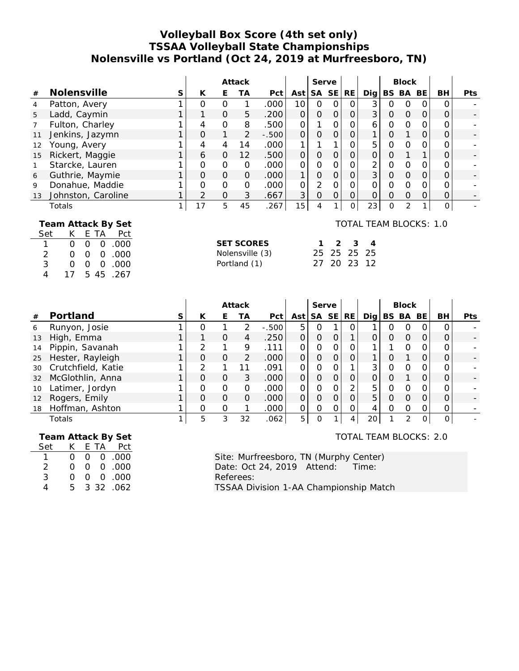### **Volleyball Box Score (4th set only) TSSAA Volleyball State Championships Nolensville vs Portland (Oct 24, 2019 at Murfreesboro, TN)**

|                               |                                                                                                                                                                                                                                    |              | Attack         |                |                                                      | Serve   |                | <b>Block</b>   |                |                |                                                      |                |                |                     |                     |     |
|-------------------------------|------------------------------------------------------------------------------------------------------------------------------------------------------------------------------------------------------------------------------------|--------------|----------------|----------------|------------------------------------------------------|---------|----------------|----------------|----------------|----------------|------------------------------------------------------|----------------|----------------|---------------------|---------------------|-----|
| $\#$                          | Nolensville                                                                                                                                                                                                                        | S            | K              | E              | <b>TA</b>                                            | Pct     | Ast            |                | SA SE          | <b>RE</b>      | Dig                                                  |                | BS BA          | BE                  | <b>BH</b>           | Pts |
| 4                             | Patton, Avery                                                                                                                                                                                                                      | 1            | $\overline{O}$ | $\overline{0}$ | $\mathbf{1}$                                         | .000    | 10             | $\overline{0}$ | $\overline{0}$ | $\mathbf{O}$   | 3                                                    | $\mathbf 0$    | $\mathbf 0$    | $\mathbf{O}$        | $\overline{O}$      |     |
| 5                             | Ladd, Caymin                                                                                                                                                                                                                       | 1            | 1              | $\overline{O}$ | 5                                                    | .200    | $\overline{O}$ | $\mathbf 0$    | $\mathbf 0$    | $\overline{O}$ | 3                                                    | $\mathbf 0$    | $\mathsf O$    | $\mathbf 0$         | 0                   |     |
| $\overline{7}$                | Fulton, Charley                                                                                                                                                                                                                    | 1            | 4              | $\overline{O}$ | 8                                                    | .500    | $\mathbf 0$    | 1              | $\overline{O}$ | $\overline{O}$ | 6                                                    | $\mathbf 0$    | $\overline{O}$ | $\mathbf 0$         | $\Omega$            |     |
| 11                            | Jenkins, Jazymn                                                                                                                                                                                                                    | $\mathbf{1}$ | $\Omega$       | $\mathbf{1}$   | $\overline{2}$                                       | $-.500$ | $\overline{O}$ | $\overline{O}$ | $\overline{O}$ | $\overline{O}$ | 1                                                    | $\overline{O}$ | $\mathbf{1}$   | $\overline{O}$      | $\overline{O}$      |     |
| 12                            | Young, Avery                                                                                                                                                                                                                       | 1            | 4              | 4              | 14                                                   | .000    | $\mathbf{1}$   | 1              | 1              | $\mathsf O$    | 5                                                    | $\overline{O}$ | $\overline{O}$ | $\mathbf 0$         | 0                   |     |
| 15                            | Rickert, Maggie                                                                                                                                                                                                                    | 1            | 6              | $\overline{O}$ | 12                                                   | .500    | $\overline{O}$ | $\overline{O}$ | $\overline{O}$ | $\overline{O}$ | $\overline{O}$                                       | $\mathbf 0$    | $\mathbf{1}$   | $\mathbf{1}$        | 0                   |     |
| 1                             | Starcke, Lauren                                                                                                                                                                                                                    | 1            | $\overline{O}$ | $\overline{O}$ | $\overline{O}$                                       | .000    | $\overline{O}$ | $\overline{0}$ | $\overline{O}$ | $\overline{O}$ | $\overline{2}$                                       | $\mathbf 0$    | $\overline{O}$ | $\mathbf{O}$        | 0                   |     |
| 6                             | Guthrie, Maymie                                                                                                                                                                                                                    | 1            | $\Omega$       | $\Omega$       | $\overline{O}$                                       | .000    | $\mathbf{1}$   | $\overline{O}$ | $\overline{O}$ | $\overline{O}$ | $\overline{3}$                                       | $\overline{O}$ | $\overline{O}$ | $\mathbf 0$         | $\Omega$            |     |
| 9                             | Donahue, Maddie                                                                                                                                                                                                                    | 1            | $\overline{O}$ | $\overline{O}$ | $\overline{O}$                                       | .000    | $\Omega$       | $\overline{2}$ | $\overline{O}$ | $\overline{O}$ | 0                                                    | $\overline{O}$ | $\overline{O}$ | $\overline{O}$      | 0                   |     |
| 13                            | Johnston, Caroline                                                                                                                                                                                                                 | $\mathbf{1}$ | $\overline{2}$ | $\overline{O}$ | 3                                                    | .667    | 3              | $\overline{O}$ | $\mathbf 0$    | $\mathbf 0$    | $\overline{O}$                                       | $\overline{O}$ | $\overline{O}$ | $\mathsf O$         | $\mathbf 0$         |     |
|                               | Totals                                                                                                                                                                                                                             | 1            | 17             | 5              | 45                                                   | .267    | 15             | 4              | $\mathbf{1}$   | $\mathsf O$    | 23                                                   | $\mathbf 0$    | $\overline{2}$ | $\mathbf{1}$        | $\mathsf{O}\xspace$ |     |
| Set<br>$\mathbf{1}$<br>3<br>4 | Team Attack By Set<br>К<br>Ε<br><b>TA</b><br>Pct<br>$\overline{O}$<br>$\overline{0}$<br>$\mathbf 0$<br>.000<br>2<br>$\mathbf 0$<br>.000<br>0<br>0<br>.000<br>$\overline{O}$<br>$\mathbf 0$<br>$\mathbf 0$<br>17<br>45<br>5<br>.267 |              |                |                | <b>SET SCORES</b><br>Nolensville (3)<br>Portland (1) |         |                | 1<br>25<br>27  | 2<br>25<br>20  | 3<br>25<br>23  | TOTAL TEAM BLOCKS: 1.0<br>$\overline{4}$<br>25<br>12 |                |                |                     |                     |     |
|                               |                                                                                                                                                                                                                                    |              |                |                | Attack                                               |         |                | Serve          |                |                |                                                      |                | <b>Block</b>   |                     |                     |     |
| #                             | Portland                                                                                                                                                                                                                           | S            | K              | E              | <b>TA</b>                                            | Pct     | Ast            |                | SA SE          | RE             | Dig                                                  |                | BS BA          | BE                  | BH                  | Pts |
| 6                             | Runyon, Josie                                                                                                                                                                                                                      | 1            | $\overline{O}$ | $\mathbf{1}$   | $\overline{2}$                                       | $-.500$ | 5              | $\overline{O}$ | 1              | $\mathbf{O}$   | 1                                                    | $\mathbf 0$    | $\mathbf 0$    | $\mathbf 0$         | $\overline{O}$      |     |
| 13                            | High, Emma                                                                                                                                                                                                                         | 1            | 1              | $\mathbf 0$    | $\overline{4}$                                       | .250    | $\overline{O}$ | $\mathbf 0$    | $\mathbf 0$    | 1              | $\mathcal{O}$                                        | $\mathbf 0$    | $\mathsf O$    | $\mathbf 0$         | 0                   |     |
| 14                            | Pippin, Savanah                                                                                                                                                                                                                    | 1            | $\overline{2}$ | 1              | 9                                                    | .111    | $\Omega$       | $\overline{0}$ | $\overline{0}$ | $\mathbf 0$    | 1                                                    | 1              | $\Omega$       | $\overline{O}$      | $\Omega$            |     |
| 25                            | Hester, Rayleigh                                                                                                                                                                                                                   | $\mathbf{1}$ | $\overline{O}$ | $\overline{O}$ | $\overline{2}$                                       | .000    | $\overline{O}$ | $\mathbf 0$    | $\overline{O}$ | $\overline{O}$ | 1                                                    | $\overline{O}$ | $\mathbf{1}$   | $\mathsf{O}$        | $\overline{O}$      |     |
| 30                            | Crutchfield, Katie                                                                                                                                                                                                                 | 1            | $\overline{2}$ | 1              | 11                                                   | .091    | $\overline{O}$ | $\overline{O}$ | $\overline{0}$ | 1              | 3                                                    | $\overline{O}$ | $\overline{O}$ | $\mathsf{O}\xspace$ | 0                   |     |
| 32                            | McGlothlin, Anna                                                                                                                                                                                                                   | 1            | $\overline{O}$ | $\overline{O}$ | 3                                                    | .000    | $\overline{O}$ | $\mathbf 0$    | $\overline{O}$ | $\mathsf O$    | $\overline{O}$                                       | $\mathbf 0$    | $\mathbf{1}$   | $\mathbf 0$         | $\overline{O}$      |     |
| 10                            | Latimer, Jordyn                                                                                                                                                                                                                    | 1            | $\overline{O}$ | $\overline{O}$ | $\overline{O}$                                       | .000    | $\overline{O}$ | $\overline{O}$ | $\overline{O}$ | $\overline{2}$ | 5                                                    | $\Omega$       | $\overline{O}$ | $\mathbf{O}$        | $\Omega$            |     |
| 12                            | Rogers, Emily                                                                                                                                                                                                                      | 1            | $\Omega$       | $\overline{O}$ | $\mathbf 0$                                          | .000    | $\overline{O}$ | $\mathbf 0$    | $\overline{O}$ | $\overline{O}$ | 5                                                    | $\overline{O}$ | $\overline{O}$ | $\overline{O}$      | $\Omega$            |     |
| 18                            | Hoffman, Ashton                                                                                                                                                                                                                    | 1            | $\mathbf 0$    | $\mathcal{O}$  | 1                                                    | .000    | $\mathbf 0$    | $\mathbf 0$    | $\mathbf 0$    | $\mathsf O$    | 4                                                    | $\mathbf 0$    | $\mathbf 0$    | $\mathsf O$         | 0                   |     |
|                               | Totals                                                                                                                                                                                                                             | 1            | 5              | 3              | 32                                                   | .062    | 5              | $\overline{O}$ | $\mathbf{1}$   | $\overline{4}$ | 20                                                   | 1              | $\overline{2}$ | O                   | $\overline{O}$      |     |

 **Team Attack By Set** Set K E TA Pct 1 0 0 0 . 0 0 0 2 0 0 0 . 0 0 0

3 0 0 0 . 0 0 0 4 5 3 32 .062

TOTAL TEAM BLOCKS: 2.0

Site: Murfreesboro, TN (Murphy Center) Date: Oct 24, 2019 Attend: Time: Referees: TSSAA Division 1-AA Championship Match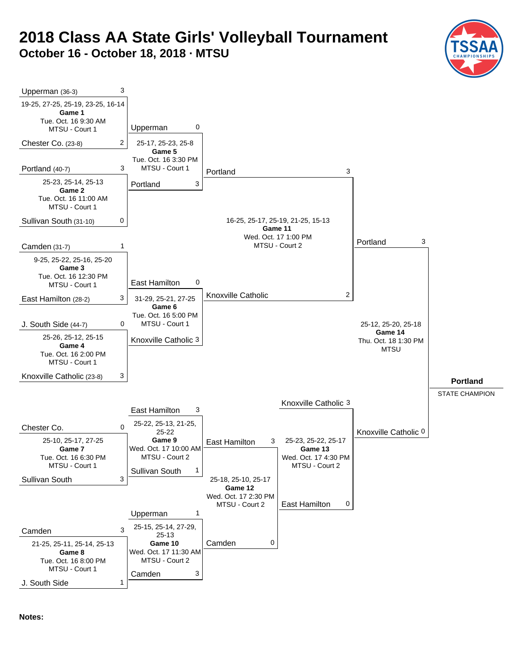# **2018 Class AA State Girls' Volleyball Tournament October 16 - October 18, 2018 · MTSU**





**Notes:**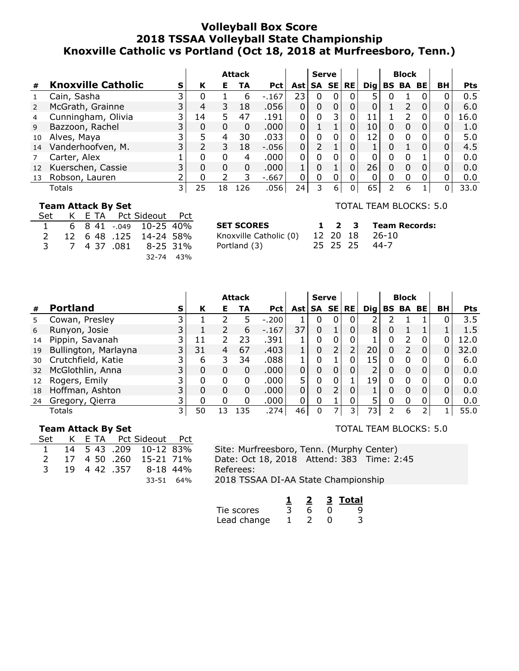#### **Volleyball Box Score 2018 TSSAA Volleyball State Championship Knoxville Catholic vs Portland (Oct 18, 2018 at Murfreesboro, Tenn.)**

|    |                           |    |          |          | <b>Attack</b> |            |          | <b>Serve</b>   |          |                |       |   | <b>Block</b> |           |    |            |
|----|---------------------------|----|----------|----------|---------------|------------|----------|----------------|----------|----------------|-------|---|--------------|-----------|----|------------|
| #  | <b>Knoxville Catholic</b> | S  | К        | Е        | TA            | <b>Pct</b> | Ast l    |                | SA SE    | <b>RE</b>      | Dia l |   | <b>BS BA</b> | <b>BE</b> | BH | <b>Pts</b> |
|    | Cain, Sasha               | ∍  | 0        |          | 6             | $-167$     | 23       | 0              |          | $\mathbf{0}$   | 5.    |   |              |           |    | 0.5        |
|    | McGrath, Grainne          |    | 4        | 3        | 18            | .056       | 0        | 0              |          |                | 0     |   |              | $\Omega$  |    | 6.0        |
| 4  | Cunningham, Olivia        |    | 14       | 5.       | 47            | .191       | 0        | 0              | 3        | 0              | 11    |   | フ            |           | 0  | 16.0       |
| 9  | Bazzoon, Rachel           |    | 0        | $\Omega$ | 0             | .000       | 0        |                |          | $\overline{0}$ | 10    | 0 | $\Omega$     | 0         | 0  | 1.0        |
| 10 | Alves, Maya               | 3. | 5        | 4        | 30            | .033       | 0        | 0              | $\Omega$ | $\Omega$       | 12    | 0 | $\Omega$     |           |    | 5.0        |
| 14 | Vanderhoofven, M.         | 3  |          | 3        | 18            | $-0.056$   | $\Omega$ | $\overline{2}$ |          |                |       | ი |              | O         |    | 4.5        |
|    | Carter, Alex              |    | 0        | $\Omega$ | 4             | .000       | 0        | 0              |          |                | 0     | 0 | $\Omega$     |           |    | 0.0        |
| 12 | Kuerschen, Cassie         |    | $\Omega$ | $\Omega$ | $\Omega$      | .000       |          |                |          | 0              | 26    | 0 | $\Omega$     | 0         |    | 0.0        |
| 13 | Robson, Lauren            |    | N        |          | 3             | $-667$     | 0        | 0              |          |                |       | ი |              |           |    | 0.0        |
|    | Totals                    | 3  | 25       | 18       | 126           | .056       | 24       | 3              | 6        | 0              | 65    | 2 | 6            |           | 0  | 33.0       |

#### **Team Attack By Set**

|               |  | Set K E TA Pct Sideout Pct |  |
|---------------|--|----------------------------|--|
|               |  | 1 6 8 41 -.049 10-25 40%   |  |
| $\mathcal{P}$ |  | 12 6 48 .125 14-24 58%     |  |
| $\mathcal{R}$ |  | 7 4 37 .081 8-25 31%       |  |
|               |  | 32-74 43%                  |  |

**SET SCORES** Knoxville Catholic (0) Portland (3)

TOTAL TEAM BLOCKS: 5.0

|  |  | 1 2 3 Team Records: |
|--|--|---------------------|
|  |  | 0) 12 20 18 26-10   |
|  |  | 25 25 25 44-7       |

|    |                      |   |    |          | <b>Attack</b> |            |            | <b>Serve</b> |   |                |     |          | <b>Block</b> |          |    |            |
|----|----------------------|---|----|----------|---------------|------------|------------|--------------|---|----------------|-----|----------|--------------|----------|----|------------|
| #  | <b>Portland</b>      | s | К  | Е        | TA            | <b>Pct</b> | <b>Ast</b> | SA SE        |   | <b>RE</b>      | Dig |          | <b>BS BA</b> | BE       | BH | <b>Pts</b> |
|    | Cowan, Presley       |   |    |          | 5             | $-.200$    |            | 0            |   | 0              | 2   |          |              |          |    | 3.5        |
| 6  | Runyon, Josie        |   |    |          | 6             | $-.167$    | 37         | 0            |   | 0              | 8   | 0        |              |          |    | 1.5        |
| 14 | Pippin, Savanah      |   |    |          | 23            | .391       |            | 0            | 0 | 0              |     | 0        | フ            | 0        |    | 12.0       |
| 19 | Bullington, Marlayna | 3 | 31 | 4        | 67            | .403       |            | 0            | 2 | 2              | 20  | 0        | フ            | $\Omega$ | 0  | 32.0       |
| 30 | Crutchfield, Katie   |   | 6  | 3        | 34            | .088       |            | 0            |   | 0              | 15  | 0        | $\Omega$     | 0        |    | 6.0        |
| 32 | McGlothlin, Anna     |   | 0  | 0        | 0             | .000       | 0          | 0            | 0 | 0              | 2   | $\Omega$ | 0            | 0        |    | 0.0        |
| 12 | Rogers, Emily        |   | 0  | $\Omega$ | 0             | .000       | 5          | 0            | 0 |                | 19  | 0        | $\Omega$     | 0        |    | 0.0        |
| 18 | Hoffman, Ashton      | 3 | 0  | 0        | 0             | .000       | 0          | 0            | 2 | 0              |     | 0        | $\Omega$     | 0        |    | 0.0        |
| 24 | Gregory, Qierra      |   | 0  | 0        | 0             | .000       | 0          | 0            |   |                |     | 0        | 0            | 0        |    | 0.0        |
|    | Totals               | 3 | 50 | 3        | 135           | .274       | 46         | 0            |   | $\overline{3}$ | 73  | 2        | 6            |          |    | 55.0       |

#### **Team Attack By Set**

|               |  | Set K E TA Pct Sideout Pct |  |
|---------------|--|----------------------------|--|
| $\mathbf{1}$  |  | 14 5 43 .209 10-12 83%     |  |
| $\mathcal{P}$ |  | 17 4 50 .260 15-21 71%     |  |
| 3             |  | 19 4 42 .357 8-18 44%      |  |
|               |  | 33-51 64%                  |  |

Site: Murfreesboro, Tenn. (Murphy Center) Date: Oct 18, 2018 Attend: 383 Time: 2:45 Referees: 2018 TSSAA DI-AA State Championship

|             | 2 | 3 Total |
|-------------|---|---------|
| Tie scores  | h |         |
| Lead change |   |         |

#### TOTAL TEAM BLOCKS: 5.0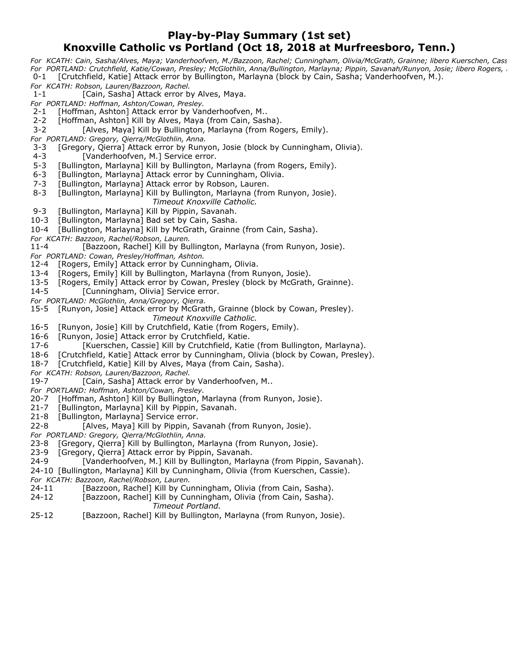#### **Play-by-Play Summary (1st set) Knoxville Catholic vs Portland (Oct 18, 2018 at Murfreesboro, Tenn.)**

*For KCATH: Cain, Sasha/Alves, Maya; Vanderhoofven, M./Bazzoon, Rachel; Cunningham, Olivia/McGrath, Grainne; libero Kuerschen, Cass For PORTLAND: Crutchfield, Katie/Cowan, Presley; McGlothlin, Anna/Bullington, Marlayna; Pippin, Savanah/Runyon, Josie; libero Rogers, E* 0-1 [Crutchfield, Katie] Attack error by Bullington, Marlayna (block by Cain, Sasha; Vanderhoofven, M.). *For KCATH: Robson, Lauren/Bazzoon, Rachel.* 1-1 [Cain, Sasha] Attack error by Alves, Maya. *For PORTLAND: Hoffman, Ashton/Cowan, Presley.* 2-1 [Hoffman, Ashton] Attack error by Vanderhoofven, M.. 2-2 [Hoffman, Ashton] Kill by Alves, Maya (from Cain, Sasha). 3-2 [Alves, Maya] Kill by Bullington, Marlayna (from Rogers, Emily). *For PORTLAND: Gregory, Qierra/McGlothlin, Anna.* 3-3 [Gregory, Qierra] Attack error by Runyon, Josie (block by Cunningham, Olivia). 4-3 [Vanderhoofven, M.] Service error. 5-3 [Bullington, Marlayna] Kill by Bullington, Marlayna (from Rogers, Emily). 6-3 [Bullington, Marlayna] Attack error by Cunningham, Olivia. 7-3 [Bullington, Marlayna] Attack error by Robson, Lauren. 8-3 [Bullington, Marlayna] Kill by Bullington, Marlayna (from Runyon, Josie). *Timeout Knoxville Catholic.* 9-3 [Bullington, Marlayna] Kill by Pippin, Savanah. 10-3 [Bullington, Marlayna] Bad set by Cain, Sasha. 10-4 [Bullington, Marlayna] Kill by McGrath, Grainne (from Cain, Sasha). *For KCATH: Bazzoon, Rachel/Robson, Lauren.* 11-4 [Bazzoon, Rachel] Kill by Bullington, Marlayna (from Runyon, Josie). *For PORTLAND: Cowan, Presley/Hoffman, Ashton.* [Rogers, Emily] Attack error by Cunningham, Olivia. 13-4 [Rogers, Emily] Kill by Bullington, Marlayna (from Runyon, Josie). 13-5 [Rogers, Emily] Attack error by Cowan, Presley (block by McGrath, Grainne). 14-5 [Cunningham, Olivia] Service error. *For PORTLAND: McGlothlin, Anna/Gregory, Qierra.* 15-5 [Runyon, Josie] Attack error by McGrath, Grainne (block by Cowan, Presley). *Timeout Knoxville Catholic.* 16-5 [Runyon, Josie] Kill by Crutchfield, Katie (from Rogers, Emily). 16-6 [Runyon, Josie] Attack error by Crutchfield, Katie. 17-6 [Kuerschen, Cassie] Kill by Crutchfield, Katie (from Bullington, Marlayna). 18-6 [Crutchfield, Katie] Attack error by Cunningham, Olivia (block by Cowan, Presley). 18-7 [Crutchfield, Katie] Kill by Alves, Maya (from Cain, Sasha).

- *For KCATH: Robson, Lauren/Bazzoon, Rachel.*
- [Cain, Sasha] Attack error by Vanderhoofven, M..
- *For PORTLAND: Hoffman, Ashton/Cowan, Presley.*
- 20-7 [Hoffman, Ashton] Kill by Bullington, Marlayna (from Runyon, Josie).
- 21-7 [Bullington, Marlayna] Kill by Pippin, Savanah.
- 21-8 [Bullington, Marlayna] Service error.
- 22-8 [Alves, Maya] Kill by Pippin, Savanah (from Runyon, Josie).
- *For PORTLAND: Gregory, Qierra/McGlothlin, Anna.*
- 23-8 [Gregory, Qierra] Kill by Bullington, Marlayna (from Runyon, Josie).
- 23-9 [Gregory, Qierra] Attack error by Pippin, Savanah.
- 24-9 [Vanderhoofven, M.] Kill by Bullington, Marlayna (from Pippin, Savanah).
- 24-10 [Bullington, Marlayna] Kill by Cunningham, Olivia (from Kuerschen, Cassie).
- 
- *For KCATH: Bazzoon, Rachel/Robson, Lauren.* [Bazzoon, Rachel] Kill by Cunningham, Olivia (from Cain, Sasha).
- 24-12 [Bazzoon, Rachel] Kill by Cunningham, Olivia (from Cain, Sasha). *Timeout Portland.*
- 25-12 [Bazzoon, Rachel] Kill by Bullington, Marlayna (from Runyon, Josie).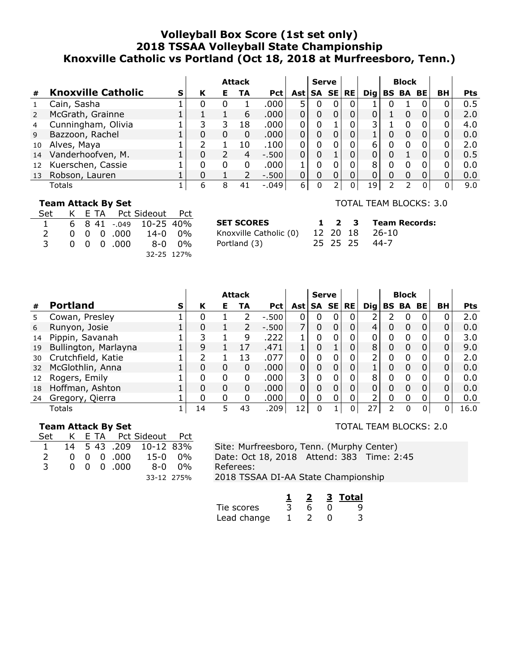### **Volleyball Box Score (1st set only) 2018 TSSAA Volleyball State Championship Knoxville Catholic vs Portland (Oct 18, 2018 at Murfreesboro, Tenn.)**

|    |                           |   |   |   | <b>Attack</b> |            |             | <b>Serve</b> |              |            |   | <b>Block</b>    |          |              |            |
|----|---------------------------|---|---|---|---------------|------------|-------------|--------------|--------------|------------|---|-----------------|----------|--------------|------------|
| #  | <b>Knoxville Catholic</b> | S | К | Е | TA            | <b>Pct</b> |             | Ast   SA SE  | <b>RE</b>    | <b>Dig</b> |   | <b>BS BA BE</b> |          | <b>BH</b>    | <b>Pts</b> |
|    | Cain, Sasha               |   | 0 | O |               | .000       |             | 0            | 0            |            |   |                 |          |              | 0.5        |
|    | McGrath, Grainne          |   |   |   | 6             | .000       |             | 0            |              |            |   |                 | 0        |              | 2.0        |
| 4  | Cunningham, Olivia        |   |   | 3 | 18            | .000       | 0           | 0            |              | 3          |   |                 | 0        |              | 4.0        |
| 9  | Bazzoon, Rachel           |   |   | 0 | 0             | .000       | $\mathbf 0$ | $\Omega$     |              |            |   |                 |          |              | 0.0        |
| 10 | Alves, Maya               |   |   |   | 10            | .100       | $\Omega$    | 0            |              | 6          | 0 |                 | 0        |              | 2.0        |
| 14 | Vanderhoofven, M.         |   | 0 |   | 4             | $-.500$    | $\Omega$    | 0            |              |            |   |                 | $\Omega$ |              | 0.5        |
| 12 | Kuerschen, Cassie         |   |   | 0 | 0             | .000       | 1           | 0            | 0            | 8          |   |                 | 0        | N            | 0.0        |
| 13 | Robson, Lauren            |   | 0 |   |               | $-0.500$   |             | $\Omega$     |              |            |   |                 |          |              | 0.0        |
|    | Totals                    |   | 6 | 8 | 41            | $-.049$    | 6           | 0            | <sup>n</sup> | 19         | ר | っ               | 0        | <sup>n</sup> | 9.0        |

#### **Team Attack By Set**

| Set            |  |                    | K E TA Pct Sideout Pct           |  |
|----------------|--|--------------------|----------------------------------|--|
| $\overline{1}$ |  |                    | 6 8 41 -.049 10-25 40%           |  |
| $\overline{2}$ |  |                    | $0 \t0 \t0 \t0.000 \t14-0 \t0\%$ |  |
| 3              |  | $0 \t0 \t0 \t.000$ | 8-0 0%                           |  |
|                |  |                    | 32-25 127%                       |  |

**SET SCORES** Knoxville Catholic (0) Portland (3)

TOTAL TEAM BLOCKS: 3.0

|  | 1 2 3 Team Records: |
|--|---------------------|
|  | 12 20 18 26-10      |
|  | 25 25 25 44-7       |

|    |                      |   |    |          | <b>Attack</b> |            |            | <b>Serve</b> |   |    |               |           | <b>Block</b> |           |    |            |
|----|----------------------|---|----|----------|---------------|------------|------------|--------------|---|----|---------------|-----------|--------------|-----------|----|------------|
| #  | <b>Portland</b>      | s | К  | Е        | TA            | <b>Pct</b> | <b>Ast</b> | SA SE        |   | RE | Dig           | <b>BS</b> | BA           | <b>BE</b> | BН | <b>Pts</b> |
| 5. | Cowan, Presley       |   | 0  |          |               | $-500$     |            | 0            |   |    | 2             |           | 0            | 0         |    | 2.0        |
| 6  | Runyon, Josie        |   | 0  |          | 2             | $-.500$    | 7          | 0            | 0 |    | 4             | 0         | 0            | 0         |    | 0.0        |
| 14 | Pippin, Savanah      |   | 3  |          | 9             | .222       |            | 0            |   |    | 0             | 0         | 0            | 0         |    | 3.0        |
| 19 | Bullington, Marlayna |   | 9  |          | 17            | .471       |            | 0            |   |    | 8             | 0         | 0            | 0         | 0  | 9.0        |
| 30 | Crutchfield, Katie   |   | ว  |          | 13            | .077       | 0          | 0            | 0 |    | $\mathcal{P}$ | 0         | 0            | 0         | O  | 2.0        |
| 32 | McGlothlin, Anna     |   | 0  | 0        | 0             | .000       | $\Omega$   | 0            | 0 |    |               | 0         | 0            | 0         | 0  | 0.0        |
| 12 | Rogers, Emily        |   | 0  | 0        | 0             | .000       | 3          | 0            | 0 |    | 8             |           | <sup>0</sup> | 0         |    | 0.0        |
| 18 | Hoffman, Ashton      |   | 0  | 0        | 0             | .000       | $\Omega$   | 0            | 0 | 0  | 0             | 0         | 0            | 0         | 0  | 0.0        |
| 24 | Gregory, Qierra      |   | 0  | $\Omega$ | 0             | .000       | 0          | 0            | 0 |    | 2             | 0         | 0            | 0         | 0  | 0.0        |
|    | Totals               |   | 14 | 5        | 43            | .209       | 12         |              |   | 0  | 27            |           |              |           |    | 16.0       |

#### **Team Attack By Set**

| Set           |  |                     | K E TA Pct Sideout Pct                                     |  |
|---------------|--|---------------------|------------------------------------------------------------|--|
| $\mathbf{1}$  |  |                     | 14 5 43 .209 10-12 83%                                     |  |
| $\mathcal{L}$ |  |                     | $0 \quad 0 \quad 0 \quad .000 \quad 15\text{-}0 \quad 0\%$ |  |
| 3             |  | $0 \t0 \t0 \t0.000$ | 8-0 0%                                                     |  |
|               |  |                     | 33-12 275%                                                 |  |

Site: Murfreesboro, Tenn. (Murphy Center) Date: Oct 18, 2018 Attend: 383 Time: 2:45 Referees: 2018 TSSAA DI-AA State Championship

|             |  | 3. | Total |
|-------------|--|----|-------|
| Tie scores  |  |    |       |
| Lead change |  |    |       |

TOTAL TEAM BLOCKS: 2.0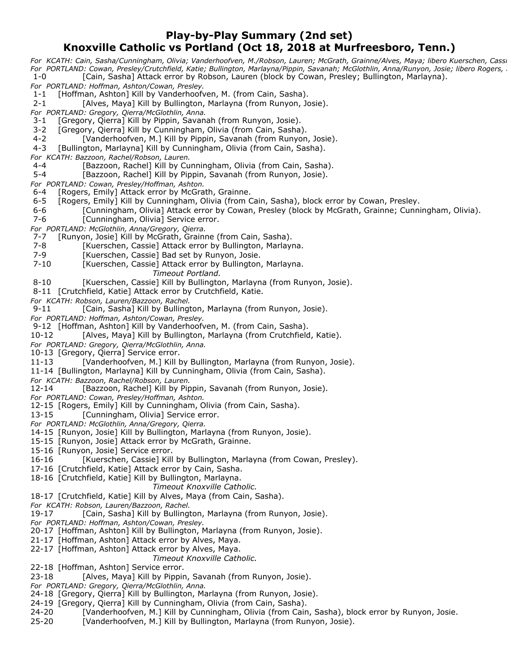#### **Play-by-Play Summary (2nd set) Knoxville Catholic vs Portland (Oct 18, 2018 at Murfreesboro, Tenn.)**

*For KCATH: Cain, Sasha/Cunningham, Olivia; Vanderhoofven, M./Robson, Lauren; McGrath, Grainne/Alves, Maya; libero Kuerschen, Cassi For PORTLAND: Cowan, Presley/Crutchfield, Katie; Bullington, Marlayna/Pippin, Savanah; McGlothlin, Anna/Runyon, Josie; libero Rogers, E* [Cain, Sasha] Attack error by Robson, Lauren (block by Cowan, Presley; Bullington, Marlayna).

*For PORTLAND: Hoffman, Ashton/Cowan, Presley.*

1-1 [Hoffman, Ashton] Kill by Vanderhoofven, M. (from Cain, Sasha).

2-1 [Alves, Maya] Kill by Bullington, Marlayna (from Runyon, Josie).

*For PORTLAND: Gregory, Qierra/McGlothlin, Anna.*

[Gregory, Qierra] Kill by Pippin, Savanah (from Runyon, Josie).

3-2 [Gregory, Qierra] Kill by Cunningham, Olivia (from Cain, Sasha).

4-2 [Vanderhoofven, M.] Kill by Pippin, Savanah (from Runyon, Josie).

4-3 [Bullington, Marlayna] Kill by Cunningham, Olivia (from Cain, Sasha).

*For KCATH: Bazzoon, Rachel/Robson, Lauren.*

4-4 [Bazzoon, Rachel] Kill by Cunningham, Olivia (from Cain, Sasha).

5-4 [Bazzoon, Rachel] Kill by Pippin, Savanah (from Runyon, Josie).

*For PORTLAND: Cowan, Presley/Hoffman, Ashton.*

6-4 [Rogers, Emily] Attack error by McGrath, Grainne.

6-5 [Rogers, Emily] Kill by Cunningham, Olivia (from Cain, Sasha), block error by Cowan, Presley.

6-6 [Cunningham, Olivia] Attack error by Cowan, Presley (block by McGrath, Grainne; Cunningham, Olivia).

7-6 [Cunningham, Olivia] Service error.

*For PORTLAND: McGlothlin, Anna/Gregory, Qierra.*

7-7 [Runyon, Josie] Kill by McGrath, Grainne (from Cain, Sasha).

- 7-8 [Kuerschen, Cassie] Attack error by Bullington, Marlayna.
- 7-9 [Kuerschen, Cassie] Bad set by Runyon, Josie.

7-10 [Kuerschen, Cassie] Attack error by Bullington, Marlayna.

*Timeout Portland.*

8-10 [Kuerschen, Cassie] Kill by Bullington, Marlayna (from Runyon, Josie).

8-11 [Crutchfield, Katie] Attack error by Crutchfield, Katie.

*For KCATH: Robson, Lauren/Bazzoon, Rachel.*

9-11 [Cain, Sasha] Kill by Bullington, Marlayna (from Runyon, Josie).

*For PORTLAND: Hoffman, Ashton/Cowan, Presley.*

9-12 [Hoffman, Ashton] Kill by Vanderhoofven, M. (from Cain, Sasha).

10-12 [Alves, Maya] Kill by Bullington, Marlayna (from Crutchfield, Katie).

*For PORTLAND: Gregory, Qierra/McGlothlin, Anna.*

10-13 [Gregory, Qierra] Service error.

11-13 [Vanderhoofven, M.] Kill by Bullington, Marlayna (from Runyon, Josie).

11-14 [Bullington, Marlayna] Kill by Cunningham, Olivia (from Cain, Sasha).

*For KCATH: Bazzoon, Rachel/Robson, Lauren.*

12-14 [Bazzoon, Rachel] Kill by Pippin, Savanah (from Runyon, Josie).

*For PORTLAND: Cowan, Presley/Hoffman, Ashton.*

12-15 [Rogers, Emily] Kill by Cunningham, Olivia (from Cain, Sasha).

13-15 [Cunningham, Olivia] Service error.

*For PORTLAND: McGlothlin, Anna/Gregory, Qierra.*

14-15 [Runyon, Josie] Kill by Bullington, Marlayna (from Runyon, Josie).

15-15 [Runyon, Josie] Attack error by McGrath, Grainne.

15-16 [Runyon, Josie] Service error.

16-16 [Kuerschen, Cassie] Kill by Bullington, Marlayna (from Cowan, Presley).

17-16 [Crutchfield, Katie] Attack error by Cain, Sasha.

18-16 [Crutchfield, Katie] Kill by Bullington, Marlayna.

*Timeout Knoxville Catholic.*

18-17 [Crutchfield, Katie] Kill by Alves, Maya (from Cain, Sasha).

*For KCATH: Robson, Lauren/Bazzoon, Rachel.*

[Cain, Sasha] Kill by Bullington, Marlayna (from Runyon, Josie).

*For PORTLAND: Hoffman, Ashton/Cowan, Presley.*

20-17 [Hoffman, Ashton] Kill by Bullington, Marlayna (from Runyon, Josie).

21-17 [Hoffman, Ashton] Attack error by Alves, Maya.

22-17 [Hoffman, Ashton] Attack error by Alves, Maya.

*Timeout Knoxville Catholic.*

22-18 [Hoffman, Ashton] Service error.

23-18 [Alves, Maya] Kill by Pippin, Savanah (from Runyon, Josie).

*For PORTLAND: Gregory, Qierra/McGlothlin, Anna.*

24-18 [Gregory, Qierra] Kill by Bullington, Marlayna (from Runyon, Josie).

24-19 [Gregory, Qierra] Kill by Cunningham, Olivia (from Cain, Sasha).

24-20 [Vanderhoofven, M.] Kill by Cunningham, Olivia (from Cain, Sasha), block error by Runyon, Josie.

25-20 [Vanderhoofven, M.] Kill by Bullington, Marlayna (from Runyon, Josie).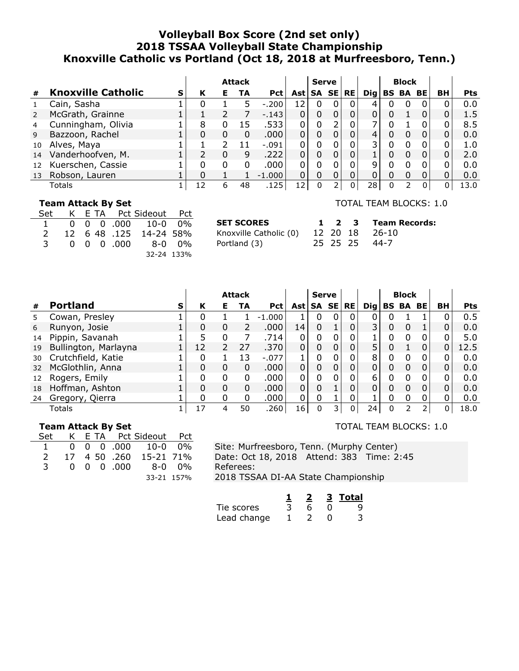### **Volleyball Box Score (2nd set only) 2018 TSSAA Volleyball State Championship Knoxville Catholic vs Portland (Oct 18, 2018 at Murfreesboro, Tenn.)**

|    |                           |   |    |   | <b>Attack</b> |            |    | <b>Serve</b> |           |            |   | <b>Block</b>    |   |           |            |
|----|---------------------------|---|----|---|---------------|------------|----|--------------|-----------|------------|---|-----------------|---|-----------|------------|
| #  | <b>Knoxville Catholic</b> | s | К  | Е | TA            | <b>Pct</b> |    | Ast   SA SE  | <b>RE</b> | <b>Dig</b> |   | <b>BS BA BE</b> |   | <b>BH</b> | <b>Pts</b> |
|    | Cain, Sasha               |   | 0  |   | ל             | $-.200$    | 12 | 0            | 0         | 4          | U |                 | 0 |           | 0.0        |
|    | McGrath, Grainne          |   |    |   |               | $-.143$    |    | 0            |           |            |   |                 |   |           | 1.5        |
| 4  | Cunningham, Olivia        |   | 8  |   | 15            | .533       | 0  | 0            | 0         |            |   |                 |   |           | 8.5        |
| 9  | Bazzoon, Rachel           |   | 0  | 0 | 0             | .000       |    | 0            |           | 4          |   |                 |   |           | 0.0        |
| 10 | Alves, Maya               |   |    |   |               | $-.091$    |    | 0            |           | 3          |   |                 | 0 |           | 1.0        |
| 14 | Vanderhoofven, M.         |   |    | 0 | 9             | .222       |    | 0            |           |            |   |                 | 0 |           | 2.0        |
| 12 | Kuerschen, Cassie         |   |    | 0 | 0             | .000       | 0  | 0            |           | 9          |   |                 | 0 |           | 0.0        |
| 13 | Robson, Lauren            |   | 0  |   |               | $-1.000$   |    | 0            |           |            |   |                 |   |           | 0.0        |
|    | Totals                    |   | 12 | 6 | 48            | .125       | 12 | 0            | 0         | 28         | 0 | 2               | 0 | U         | 13.0       |

#### **Team Attack By Set**

|               |  | Set K E TA Pct Sideout Pct |                                           |            |
|---------------|--|----------------------------|-------------------------------------------|------------|
|               |  |                            | $1 \t 0 \t 0 \t 0 \t .000 \t 10-0 \t 0\%$ |            |
| $\mathcal{P}$ |  |                            | 12 6 48 .125 14-24 58%                    |            |
|               |  |                            | 3 0 0 0 0 000 8-0 0%                      |            |
|               |  |                            |                                           | 32-24 133% |

**SET SCORES** Knoxville Catholic (0) Portland (3)

TOTAL TEAM BLOCKS: 1.0

|  |  | 1 2 3 Team Records: |
|--|--|---------------------|
|  |  | 12 20 18 26-10      |
|  |  | 25 25 25 44-7       |

|    |                      |   |    |   | <b>Attack</b> |            |             | <b>Serve</b> |   |           |                 |    | <b>Block</b>    |   |    |            |
|----|----------------------|---|----|---|---------------|------------|-------------|--------------|---|-----------|-----------------|----|-----------------|---|----|------------|
| #  | <b>Portland</b>      | S | K  | Е | TA            | <b>Pct</b> | Ast   SA SE |              |   | <b>RE</b> | $\mathbf{Di}$ g |    | <b>BS BA BE</b> |   | BH | <b>Pts</b> |
| 5. | Cowan, Presley       |   | O  |   |               | $-1.000$   |             | 0            | 0 | 0         | 0               |    |                 |   |    | 0.5        |
| 6  | Runyon, Josie        |   | 0  | 0 |               | .000.      | 14          | 0            |   | 0         | 3 <sub>1</sub>  | 0  | 0               |   | 0  | 0.0        |
| 14 | Pippin, Savanah      |   | 5  | 0 |               | .714       | 0           | 0            |   |           |                 | O. | <sup>0</sup>    | O |    | 5.0        |
| 19 | Bullington, Marlayna |   | 12 | 2 | 27            | .370       | 0           | 0            | 0 |           | 5               | 0  |                 | 0 | 0  | 12.5       |
| 30 | Crutchfield, Katie   |   | 0  |   | 13            | $-.077$    |             | 0            | 0 | 0         | 8               | U  | <sup>0</sup>    | 0 | O  | 0.0        |
| 32 | McGlothlin, Anna     |   | 0  | 0 | 0             | .000.      | $\Omega$    | 0            | 0 | 0         | 0               | 0  | 0               | 0 | 0  | 0.0        |
| 12 | Rogers, Emily        |   | 0  | O | 0             | .000       | 0           | 0            | 0 | 0         | 6               | U  | <sup>0</sup>    | 0 | n  | 0.0        |
| 18 | Hoffman, Ashton      |   | 0  | 0 | 0             | .000       | 0           | 0            |   | 0         | $\Omega$        | 0  | 0               | 0 | 0  | 0.0        |
| 24 | Gregory, Qierra      |   | 0  | 0 | 0             | .000       | 0           | 0            |   |           |                 | 0  |                 | 0 | 0  | 0.0        |
|    | Totals               |   | 17 | Δ | 50            | .260       | 16          | 0            |   | $\Omega$  | 24              |    |                 |   | 0  | 18.0       |

#### **Team Attack By Set**

|               |  | Set K E TA Pct Sideout Pct |                                           |  |
|---------------|--|----------------------------|-------------------------------------------|--|
|               |  |                            | $1 \t 0 \t 0 \t 0 \t .000 \t 10-0 \t 0\%$ |  |
| $\mathcal{P}$ |  |                            | 17 4 50 .260 15-21 71%                    |  |
|               |  |                            | 3 0 0 0 0 000 8-0 0%                      |  |
|               |  |                            | 33-21 157%                                |  |

Site: Murfreesboro, Tenn. (Murphy Center) Date: Oct 18, 2018 Attend: 383 Time: 2:45 Referees: 2018 TSSAA DI-AA State Championship

|             |  | 3. | Total |
|-------------|--|----|-------|
| Tie scores  |  |    |       |
| Lead change |  |    |       |

TOTAL TEAM BLOCKS: 1.0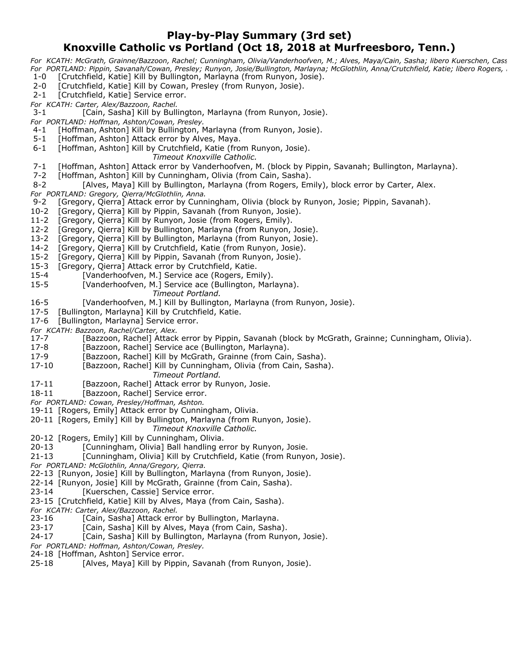#### **Play-by-Play Summary (3rd set)**

## **Knoxville Catholic vs Portland (Oct 18, 2018 at Murfreesboro, Tenn.)**

*For KCATH: McGrath, Grainne/Bazzoon, Rachel; Cunningham, Olivia/Vanderhoofven, M.; Alves, Maya/Cain, Sasha; libero Kuerschen, Cass For PORTLAND: Pippin, Savanah/Cowan, Presley; Runyon, Josie/Bullington, Marlayna; McGlothlin, Anna/Crutchfield, Katie; libero Rogers, E* 1-0 [Crutchfield, Katie] Kill by Bullington, Marlayna (from Runyon, Josie).

- 
- 2-0 [Crutchfield, Katie] Kill by Cowan, Presley (from Runyon, Josie).
- 2-1 [Crutchfield, Katie] Service error.

*For KCATH: Carter, Alex/Bazzoon, Rachel.* [Cain, Sasha] Kill by Bullington, Marlayna (from Runyon, Josie).

- *For PORTLAND: Hoffman, Ashton/Cowan, Presley.*
- 4-1 [Hoffman, Ashton] Kill by Bullington, Marlayna (from Runyon, Josie).
- 5-1 [Hoffman, Ashton] Attack error by Alves, Maya.
- 6-1 [Hoffman, Ashton] Kill by Crutchfield, Katie (from Runyon, Josie). *Timeout Knoxville Catholic.*
- 7-1 [Hoffman, Ashton] Attack error by Vanderhoofven, M. (block by Pippin, Savanah; Bullington, Marlayna).
- 7-2 [Hoffman, Ashton] Kill by Cunningham, Olivia (from Cain, Sasha).
- 8-2 [Alves, Maya] Kill by Bullington, Marlayna (from Rogers, Emily), block error by Carter, Alex.
- *For PORTLAND: Gregory, Qierra/McGlothlin, Anna.*
- [Gregory, Qierra] Attack error by Cunningham, Olivia (block by Runyon, Josie; Pippin, Savanah).
- 10-2 [Gregory, Qierra] Kill by Pippin, Savanah (from Runyon, Josie).
- 11-2 [Gregory, Qierra] Kill by Runyon, Josie (from Rogers, Emily).
- 12-2 [Gregory, Qierra] Kill by Bullington, Marlayna (from Runyon, Josie).
- 13-2 [Gregory, Qierra] Kill by Bullington, Marlayna (from Runyon, Josie).
- 14-2 [Gregory, Qierra] Kill by Crutchfield, Katie (from Runyon, Josie).
- 15-2 [Gregory, Qierra] Kill by Pippin, Savanah (from Runyon, Josie).
- 15-3 [Gregory, Qierra] Attack error by Crutchfield, Katie.
- 15-4 [Vanderhoofven, M.] Service ace (Rogers, Emily).
- 15-5 [Vanderhoofven, M.] Service ace (Bullington, Marlayna).

*Timeout Portland.*

- 16-5 [Vanderhoofven, M.] Kill by Bullington, Marlayna (from Runyon, Josie).<br>17-5 [Bullington, Marlayna] Kill by Crutchfield, Katie.
- [Bullington, Marlayna] Kill by Crutchfield, Katie.
- 17-6 [Bullington, Marlayna] Service error.

*For KCATH: Bazzoon, Rachel/Carter, Alex.*

- [Bazzoon, Rachel] Attack error by Pippin, Savanah (block by McGrath, Grainne; Cunningham, Olivia).
- 17-8 [Bazzoon, Rachel] Service ace (Bullington, Marlayna).
- 
- 17-9 [Bazzoon, Rachel] Kill by McGrath, Grainne (from Cain, Sasha).<br>17-10 [Bazzoon, Rachel] Kill by Cunningham, Olivia (from Cain, Sasha [Bazzoon, Rachel] Kill by Cunningham, Olivia (from Cain, Sasha).
	- *Timeout Portland.*
- 17-11 [Bazzoon, Rachel] Attack error by Runyon, Josie.
- 18-11 [Bazzoon, Rachel] Service error.
- *For PORTLAND: Cowan, Presley/Hoffman, Ashton.*
- 19-11 [Rogers, Emily] Attack error by Cunningham, Olivia.
- 20-11 [Rogers, Emily] Kill by Bullington, Marlayna (from Runyon, Josie).

*Timeout Knoxville Catholic.*

- 20-12 [Rogers, Emily] Kill by Cunningham, Olivia.
- 20-13 [Cunningham, Olivia] Ball handling error by Runyon, Josie.
- 21-13 [Cunningham, Olivia] Kill by Crutchfield, Katie (from Runyon, Josie).
- *For PORTLAND: McGlothlin, Anna/Gregory, Qierra.*
- 22-13 [Runyon, Josie] Kill by Bullington, Marlayna (from Runyon, Josie).
- 22-14 [Runyon, Josie] Kill by McGrath, Grainne (from Cain, Sasha).
- 23-14 [Kuerschen, Cassie] Service error.
- 23-15 [Crutchfield, Katie] Kill by Alves, Maya (from Cain, Sasha).
- *For KCATH: Carter, Alex/Bazzoon, Rachel.*
- 23-16 [Cain, Sasha] Attack error by Bullington, Marlayna.
- 23-17 [Cain, Sasha] Kill by Alves, Maya (from Cain, Sasha).
- 24-17 [Cain, Sasha] Kill by Bullington, Marlayna (from Runyon, Josie).
- *For PORTLAND: Hoffman, Ashton/Cowan, Presley.*
- 24-18 [Hoffman, Ashton] Service error.
- 25-18 [Alves, Maya] Kill by Pippin, Savanah (from Runyon, Josie).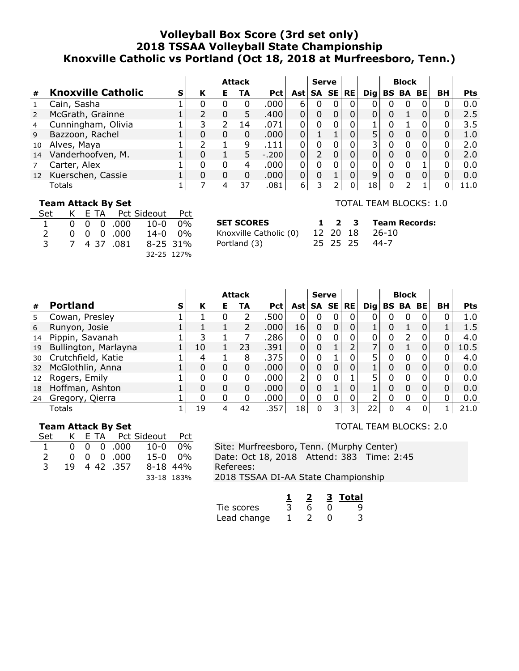### **Volleyball Box Score (3rd set only) 2018 TSSAA Volleyball State Championship Knoxville Catholic vs Portland (Oct 18, 2018 at Murfreesboro, Tenn.)**

|    |                           |   |   |    | <b>Attack</b> |            |              | <b>Serve</b> |              |            |              | <b>Block</b>    |   |           |            |
|----|---------------------------|---|---|----|---------------|------------|--------------|--------------|--------------|------------|--------------|-----------------|---|-----------|------------|
| #  | <b>Knoxville Catholic</b> | s | К | Е. | TA            | <b>Pct</b> |              | Ast   SA SE  | <b>RE</b>    | <b>Dig</b> |              | <b>BS BA BE</b> |   | <b>BH</b> | <b>Pts</b> |
|    | Cain, Sasha               |   | 0 | 0  | 0             | .000       | 6            | 0            | 0            |            |              |                 | 0 |           | 0.0        |
|    | McGrath, Grainne          |   |   | 0  | 5             | .400       |              | 0            |              |            |              |                 |   |           | 2.5        |
| 4  | Cunningham, Olivia        |   |   |    | 14            | .071       | $\Omega$     | 0            |              |            |              |                 |   |           | 3.5        |
| 9  | Bazzoon, Rachel           |   |   | 0  | 0             | .000       | 0            |              | 0            | 5          | 0            |                 | 0 | 0         | 1.0        |
| 10 | Alves, Maya               |   |   |    | q             | .111       |              | 0            |              | 3          |              |                 |   |           | 2.0        |
| 14 | Vanderhoofven, M.         |   | 0 |    | 5.            | $-.200$    |              |              |              |            |              |                 |   |           | 2.0        |
|    | Carter, Alex              |   | 0 |    | 4             | .000       |              | 0            | 0            |            |              |                 |   |           | 0.0        |
|    | 12 Kuerschen, Cassie      |   |   | 0  | 0             | .000       | $\mathbf{0}$ | 0            |              | 9          |              |                 |   |           | 0.0        |
|    | Totals                    |   |   | 4  | 37            | .081       | 6            |              | <sup>n</sup> | L8         | <sup>0</sup> |                 |   | O         | 11.0       |

#### **Team Attack By Set**

| Set                  |  |                    | K E TA Pct Sideout Pct          |                |
|----------------------|--|--------------------|---------------------------------|----------------|
| $\sim$ 1             |  |                    | $0 \t0 \t0 \t.000 \t10-0 \t0\%$ |                |
| $\mathcal{P} \equiv$ |  | $0 \t0 \t0 \t.000$ |                                 | $14 - 0$ $0\%$ |
| 3                    |  | 7 4 37 .081        | 8-25 31%                        |                |
|                      |  |                    | 32-25 127%                      |                |

**SET SCORES** Knoxville Catholic (0) Portland (3)

TOTAL TEAM BLOCKS: 1.0

|  |  | 1 2 3 Team Records: |
|--|--|---------------------|
|  |  | 12 20 18 26-10      |
|  |  | 25 25 25 44-7       |

|    |                      |   |    |   | <b>Attack</b> |            |            | <b>Serve</b> |              |            |   | <b>Block</b> |           |          |            |
|----|----------------------|---|----|---|---------------|------------|------------|--------------|--------------|------------|---|--------------|-----------|----------|------------|
| #  | <b>Portland</b>      | S | К  | Е | TA            | <b>Pct</b> | <b>Ast</b> | SA SE        | <b>RE</b>    | <b>Dig</b> |   | <b>BS BA</b> | <b>BE</b> | BH       | <b>Pts</b> |
|    | Cowan, Presley       |   |    |   | フ             | .500       |            | 0            | $\mathbf{0}$ | O          |   |              |           |          | 1.0        |
| 6  | Runyon, Josie        |   |    |   | 2             | .000       | 16         | 0            | 0            |            | 0 |              |           |          | 1.5        |
| 14 | Pippin, Savanah      |   | 3  |   |               | .286       | 0          | 0            | 0            | 0          | ი | っ            |           |          | 4.0        |
| 19 | Bullington, Marlayna |   | 10 |   | 23            | .391       | 0          | 0            | J.           |            | 0 |              |           | 0        | 10.5       |
| 30 | Crutchfield, Katie   |   | 4  |   | 8             | .375       | O          |              | 0            | 5          |   | 0            | 0         | 0        | 4.0        |
| 32 | McGlothlin, Anna     |   | 0  | 0 | $\Omega$      | .000       | 0          | 0            | 0            |            | 0 | $\Omega$     | 0         | $\Omega$ | 0.0        |
| 12 | Rogers, Emily        |   |    | 0 | 0             | .000       | 2          | 0            |              | 5          |   |              |           | 0        | 0.0        |
| 18 | Hoffman, Ashton      |   | O  | 0 | $\Omega$      | .000       | 0          | 0            | 0            |            | 0 | $\Omega$     | 0         | $\Omega$ | 0.0        |
| 24 | Gregory, Qierra      |   |    | 0 | 0             | .000       | 0          | 0            |              |            | 0 |              |           |          | 0.0        |
|    | Totals               |   | 19 | 4 | 42            | .357       | 18         | 0            | 3.           | 22         |   |              | 0         |          | 21.0       |

#### **Team Attack By Set**

| Set            |  |                             | K E TA Pct Sideout Pct           |  |  |  |  |  |
|----------------|--|-----------------------------|----------------------------------|--|--|--|--|--|
| $\overline{1}$ |  |                             | $0 \t0 \t0 \t0.000 \t10-0 \t0\%$ |  |  |  |  |  |
| $\mathcal{P}$  |  | $0\quad 0\quad 0\quad .000$ | $15-0$ 0%                        |  |  |  |  |  |
| 3.             |  | 19 4 42 .357                | 8-18 44%                         |  |  |  |  |  |
|                |  |                             | 33-18 183%                       |  |  |  |  |  |

Site: Murfreesboro, Tenn. (Murphy Center) Date: Oct 18, 2018 Attend: 383 Time: 2:45 Referees: 2018 TSSAA DI-AA State Championship

|             |  | 3. | Total |
|-------------|--|----|-------|
| Tie scores  |  |    |       |
| Lead change |  |    |       |

#### TOTAL TEAM BLOCKS: 2.0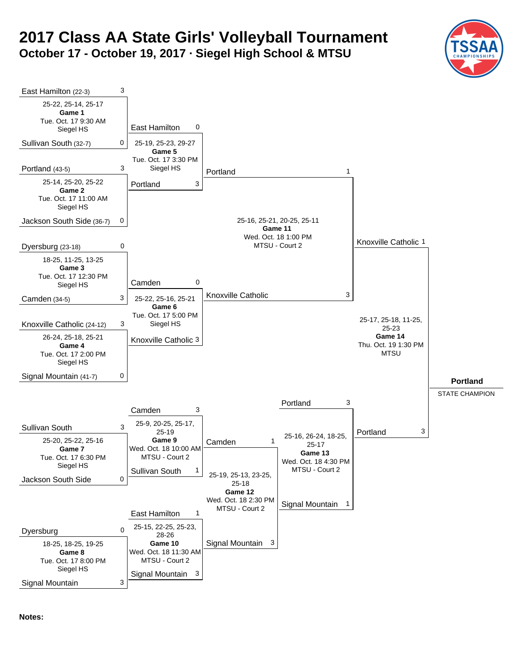# **2017 Class AA State Girls' Volleyball Tournament October 17 - October 19, 2017 · Siegel High School & MTSU**

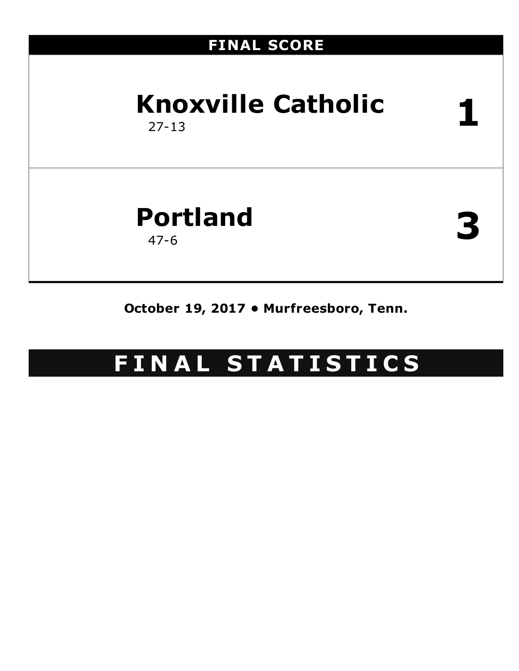# **FINAL SCORE Knoxville Catholic** 27-13 **1 Portland** 47-6 **3**

**October 19, 2017 • Murfreesboro, Tenn.**

# **F I N A L S T A T I S T I C S**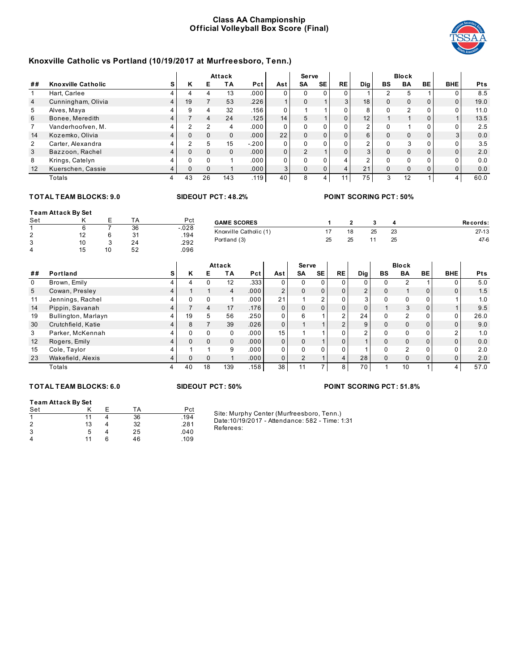#### **Class AA Championship Official Volleyball Box Score (Final)**



#### **Knoxville Catholic vs Portland (10/19/2017 at Murfreesboro, Tenn.)**

|                |                           |          |          | Attack |         |                | Serve    |                |                |                 |          | <b>Block</b>  |              |            |            |
|----------------|---------------------------|----------|----------|--------|---------|----------------|----------|----------------|----------------|-----------------|----------|---------------|--------------|------------|------------|
| ##             | <b>Knoxville Catholic</b> | Κ        | Е        | ΤA     | Pct     | Ast            | SΑ       | SE             | RE             | Dig             | BS       | BA            | BE           | <b>BHE</b> | <b>Pts</b> |
|                | Hart, Carlee              |          |          | 13     | .000    |                |          |                |                |                 |          | 5             |              |            | 8.5        |
| $\overline{4}$ | Cunningham, Olivia        | 19       |          | 53     | .226    |                |          |                | $\overline{3}$ | 18 <sub>1</sub> | $\Omega$ | $\Omega$      | $\Omega$     | $\Omega$   | 19.0       |
| 5              | Alves, Maya               | 9        |          | 32     | .156    |                |          |                |                | 8               |          | $\mathcal{P}$ | <sup>n</sup> |            | 11.0       |
| 6              | Bonee, Meredith           |          |          | 24     | .125    | 14             |          |                |                | 12.             |          |               |              |            | 13.5       |
|                | Vanderhoofven, M.         |          |          | 4      | .000    |                |          | $\Omega$       |                |                 |          |               |              |            | 2.5        |
| 14             | Kozemko, Olivia           | $\Omega$ |          |        | .000    | 22             |          | $\mathbf{0}$   |                | 6               | 0        | $\Omega$      |              | 3          | 0.0        |
| $\overline{2}$ | Carter, Alexandra         | ົ        |          | 15     | $-.200$ | $\Omega$       |          | $\Omega$       |                | $\sim$          | 0        | 3             |              |            | 3.5        |
| 3              | Bazzoon, Rachel           | $\Omega$ |          |        | .000    | 0 <sub>1</sub> | $\Omega$ |                |                | 3               | $\Omega$ | $\Omega$      |              | $\Omega$   | 2.0        |
| 8              | Krings, Catelyn           |          |          |        | .000    | n              |          | $\Omega$       |                |                 | $\Omega$ | U             | U            |            | 0.0        |
| 12             | Kuerschen, Cassie         | $\Omega$ | $\Omega$ |        | .000    | $\mathbf{3}$   |          | 0 <sub>1</sub> | 4              | 21              | $\Omega$ | $\Omega$      | $\Omega$     |            | 0.0        |
|                | Totals                    | 43       | 26       | 143    | .119    | 40             |          | 4              | 11             | 75              | 3        | 12            |              |            | 60.0       |

#### **TOT AL TEAM BLOCKS: 9.0 SIDEOUT PCT: 48.2% POINT SCORING PCT: 50%**

#### **Team Attack By Set** Set K E TA Pct 1 6 7 36 -.028<br>2 12 6 31 .194 2 12 6 31 .194 3 10 3 24 .292 4 15 10 52 .096 **GAME SCORES 1 2 3 4 Re cords:** Knoxville Catholic (1) 17 18 25 23 27-13 Portland (3) 25 25 25 11 25 47-6

|                |                     |   |              |          | Attack   |       |                | Serve    |           |           |               |              | <b>Block</b>   |              |            |            |
|----------------|---------------------|---|--------------|----------|----------|-------|----------------|----------|-----------|-----------|---------------|--------------|----------------|--------------|------------|------------|
| ##             | Portland            | s | ĸ            | Е        | ΤA       | Pct   | Ast            | SA       | <b>SE</b> | <b>RE</b> | Dig           | BS           | BA             | BE           | <b>BHE</b> | <b>Pts</b> |
| 0              | Brown, Emily        |   |              |          | 12       | .333  | 0              | 0        | 0.        |           | 0             | 0            |                |              |            | 5.0        |
| 5 <sup>5</sup> | Cowan, Presley      |   |              |          | 4        | .000  | $\overline{2}$ | $\Omega$ | $\Omega$  |           | $\mathcal{P}$ | 0            |                | <sup>n</sup> |            | 1.5        |
| 11             | Jennings, Rachel    |   | <sup>0</sup> |          |          | .000  | 21             |          | C.        |           | 3             | $\Omega$     | 0              |              |            | 1.0        |
| 14             | Pippin, Savanah     |   |              |          | 17       | .176  | $\Omega$       | $\Omega$ | $\Omega$  |           | $\Omega$      |              | 3              | $\Omega$     |            | 9.5        |
| 19             | Bullington, Marlayn |   | 19           | 5        | 56       | .250  | 0              | 6        |           | $\sim$    | 24            | 0            | C              |              |            | 26.0       |
| 30             | Crutchfield, Katie  |   | 8            |          | 39       | .026  | $\Omega$       |          |           | $\Omega$  | 9             | $\mathbf{0}$ | 0              |              | $\Omega$   | 9.0        |
| 3              | Parker, McKennah    |   | U            |          | $\Omega$ | .000  | 15             |          |           |           | $\Omega$      | $\Omega$     | <sup>n</sup>   |              | $\sqrt{2}$ | 1.0        |
| 12             | Rogers, Emily       |   | <sup>n</sup> | $\Omega$ | $\Omega$ | .000. | $\Omega$       | $\Omega$ |           |           |               | $\Omega$     | $\Omega$       |              |            | 0.0        |
| 15             | Cole, Taylor        |   |              |          | 9        | .000  | 0              | $\Omega$ | 0         |           |               | $\Omega$     | $\mathfrak{p}$ |              |            | 2.0        |
| 23             | Wakefield, Alexis   |   | $\Omega$     | 0        |          | .000  | $\Omega$       | 2        |           | 4         | 28            | $\mathbf{0}$ | 0              |              |            | 2.0        |
|                | Totals              |   | 40           | 18       | 139      | .158  | 38             | 11       |           | 8         | 70            |              | 10             |              |            | 57.0       |

#### **TOT AL TEAM BLOCKS: 6.0 SIDEOUT PCT: 50% POINT SCORING PCT: 51.8%**

#### **Team Attack By Set**

| Set<br>TA                  | Pct  |
|----------------------------|------|
|                            |      |
| $\overline{1}$<br>36<br>11 | .194 |
| 32<br>$\overline{2}$<br>13 | .281 |
| 3<br>25<br>5               | .040 |
| 4<br>46<br>11<br>6         | .109 |

Site: Murphy Center (Murfreesboro, Tenn.) Date:10/19/2017 - Attendance: 582 - Time: 1:31

Referees: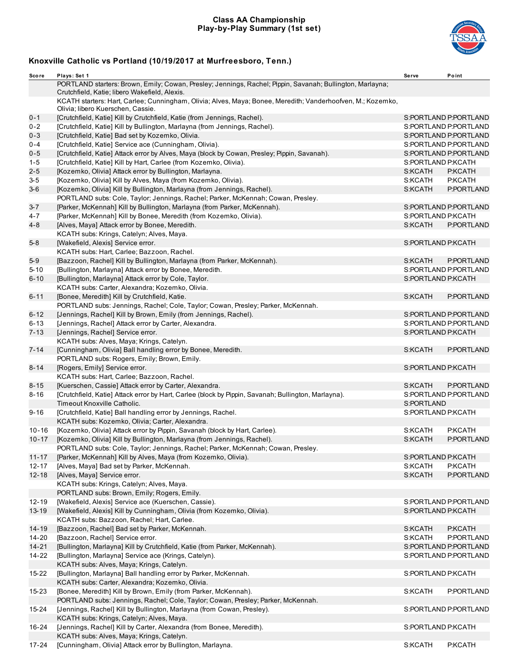#### **Class AA Championship Play-by-Play Summary (1st set)**



| Sco re                 | Plays: Set 1                                                                                                                                               | Serve              | Point                 |
|------------------------|------------------------------------------------------------------------------------------------------------------------------------------------------------|--------------------|-----------------------|
|                        | PORTLAND starters: Brown, Emily; Cowan, Presley; Jennings, Rachel; Pippin, Savanah; Bullington, Marlayna;<br>Crutchfield, Katie; libero Wakefield, Alexis. |                    |                       |
|                        | KCATH starters: Hart, Carlee; Cunningham, Olivia; Alves, Maya; Bonee, Meredith; Vanderhoofven, M.; Kozemko,<br>Olivia; libero Kuerschen, Cassie.           |                    |                       |
| $0 - 1$                | [Crutchfield, Katie] Kill by Crutchfield, Katie (from Jennings, Rachel).                                                                                   |                    | S:PORTLAND P:PORTLAND |
| $0 - 2$                | [Crutchfield, Katie] Kill by Bullington, Marlayna (from Jennings, Rachel).                                                                                 |                    | S:PORTLAND P:PORTLAND |
| $0 - 3$                | [Crutchfield, Katie] Bad set by Kozemko, Olivia.                                                                                                           |                    | S:PORTLAND P:PORTLAND |
| $0 - 4$                | [Crutchfield, Katie] Service ace (Cunningham, Olivia).                                                                                                     |                    | S:PORTLAND P:PORTLAND |
| $0 - 5$                | [Crutchfield, Katie] Attack error by Alves, Maya (block by Cowan, Presley; Pippin, Savanah).                                                               |                    | S:PORTLAND P:PORTLAND |
| $1 - 5$                | [Crutchfield, Katie] Kill by Hart, Carlee (from Kozemko, Olivia).                                                                                          | S:PORTLAND P:KCATH |                       |
| $2 - 5$                | [Kozemko, Olivia] Attack error by Bullington, Marlayna.                                                                                                    | S:KCATH            | P:KCATH               |
| $3-5$                  | [Kozemko, Olivia] Kill by Alves, Maya (from Kozemko, Olivia).                                                                                              | S:KCATH            | P:KCATH               |
| $3-6$                  | [Kozemko, Olivia] Kill by Bullington, Marlayna (from Jennings, Rachel).                                                                                    | S:KCATH            | P:PORTLAND            |
|                        | PORTLAND subs: Cole, Taylor; Jennings, Rachel; Parker, McKennah; Cowan, Presley.                                                                           |                    |                       |
| 3-7                    | [Parker, McKennah] Kill by Bullington, Marlayna (from Parker, McKennah).                                                                                   |                    | S:PORTLAND P:PORTLAND |
| 4-7                    | [Parker, McKennah] Kill by Bonee, Meredith (from Kozemko, Olivia).                                                                                         | S:PORTLAND P:KCATH |                       |
| 4-8                    | [Alves, Maya] Attack error by Bonee, Meredith.                                                                                                             | S:KCATH            | P:PORTLAND            |
|                        | KCATH subs: Krings, Catelyn; Alves, Maya.                                                                                                                  |                    |                       |
| $5 - 8$                | [Wakefield, Alexis] Service error.                                                                                                                         | S:PORTLAND P:KCATH |                       |
|                        | KCATH subs: Hart, Carlee; Bazzoon, Rachel.                                                                                                                 |                    |                       |
| $5-9$                  | [Bazzoon, Rachel] Kill by Bullington, Marlayna (from Parker, McKennah).                                                                                    | S:KCATH            | P:PORTLAND            |
| $5 - 10$               | [Bullington, Marlayna] Attack error by Bonee, Meredith.                                                                                                    |                    | S:PORTLAND P:PORTLAND |
| $6 - 10$               | [Bullington, Marlayna] Attack error by Cole, Taylor.                                                                                                       | S:PORTLAND P:KCATH |                       |
|                        | KCATH subs: Carter, Alexandra; Kozemko, Olivia.                                                                                                            |                    |                       |
| $6 - 11$               | [Bonee, Meredith] Kill by Crutchfield, Katie.                                                                                                              | S:KCATH            | P:PORTLAND            |
|                        | PORTLAND subs: Jennings, Rachel; Cole, Taylor; Cowan, Presley; Parker, McKennah.                                                                           |                    |                       |
| $6 - 12$               | [Jennings, Rachel] Kill by Brown, Emily (from Jennings, Rachel).                                                                                           |                    | S:PORTLAND P:PORTLAND |
| $6 - 13$               | [Jennings, Rachel] Attack error by Carter, Alexandra.                                                                                                      |                    | S:PORTLAND P:PORTLAND |
| $7 - 13$               | [Jennings, Rachel] Service error.                                                                                                                          | S:PORTLAND P:KCATH |                       |
|                        | KCATH subs: Alves, Maya; Krings, Catelyn.                                                                                                                  |                    |                       |
| $7 - 14$               | [Cunningham, Olivia] Ball handling error by Bonee, Meredith.                                                                                               | S:KCATH            | P:PORTLAND            |
|                        | PORTLAND subs: Rogers, Emily; Brown, Emily.                                                                                                                |                    |                       |
| $8 - 14$               | [Rogers, Emily] Service error.                                                                                                                             | S:PORTLAND P:KCATH |                       |
|                        | KCATH subs: Hart, Carlee; Bazzoon, Rachel.                                                                                                                 |                    |                       |
| $8 - 15$               | [Kuerschen, Cassie] Attack error by Carter, Alexandra.                                                                                                     | S:KCATH            | P:PORTLAND            |
| $8 - 16$               | [Crutchfield, Katie] Attack error by Hart, Carlee (block by Pippin, Savanah; Bullington, Marlayna).                                                        |                    | S:PORTLAND P:PORTLAND |
|                        | Timeout Knoxville Catholic.                                                                                                                                | S:PORTLAND         |                       |
| $9 - 16$               | [Crutchfield, Katie] Ball handling error by Jennings, Rachel.                                                                                              | S:PORTLAND P:KCATH |                       |
|                        | KCATH subs: Kozemko, Olivia; Carter, Alexandra.                                                                                                            |                    |                       |
| $10 - 16$              | [Kozemko, Olivia] Attack error by Pippin, Savanah (block by Hart, Carlee).                                                                                 | S:KCATH            | P:KCATH               |
| $10 - 17$              | [Kozemko, Olivia] Kill by Bullington, Marlayna (from Jennings, Rachel).                                                                                    | S:KCATH            | P:PORTLAND            |
|                        | PORTLAND subs: Cole, Taylor; Jennings, Rachel; Parker, McKennah; Cowan, Presley.                                                                           |                    |                       |
| $11 - 17$              | [Parker, McKennah] Kill by Alves, Maya (from Kozemko, Olivia).                                                                                             | S:PORTLAND P:KCATH |                       |
| $12 - 17$              | [Alves, Maya] Bad set by Parker, McKennah.                                                                                                                 | S:KCATH            | P:KCATH               |
| $12 - 18$              | [Alves, Maya] Service error.                                                                                                                               | S:KCATH            | P:PORTLAND            |
|                        | KCATH subs: Krings, Catelyn; Alves, Maya.                                                                                                                  |                    |                       |
|                        | PORTLAND subs: Brown, Emily; Rogers, Emily.                                                                                                                |                    |                       |
| $12 - 19$<br>$13 - 19$ | [Wakefield, Alexis] Service ace (Kuerschen, Cassie).                                                                                                       |                    | S:PORTLAND P:PORTLAND |
|                        | [Wakefield, Alexis] Kill by Cunningham, Olivia (from Kozemko, Olivia).<br>KCATH subs: Bazzoon, Rachel; Hart, Carlee.                                       | S:PORTLAND P:KCATH |                       |
| $14 - 19$              |                                                                                                                                                            |                    |                       |
| $14 - 20$              | [Bazzoon, Rachel] Bad set by Parker, McKennah.<br>[Bazzoon, Rachel] Service error.                                                                         | S:KCATH<br>S:KCATH | P:KCATH<br>P:PORTLAND |
| $14 - 21$              | [Bullington, Marlayna] Kill by Crutchfield, Katie (from Parker, McKennah).                                                                                 |                    | S:PORTLAND P:PORTLAND |
| 14-22                  | [Bullington, Marlayna] Service ace (Krings, Catelyn).                                                                                                      |                    | S:PORTLAND P:PORTLAND |
|                        | KCATH subs: Alves, Maya; Krings, Catelyn.                                                                                                                  |                    |                       |
| 15-22                  | [Bullington, Marlayna] Ball handling error by Parker, McKennah.                                                                                            | S:PORTLAND P:KCATH |                       |
|                        | KCATH subs: Carter, Alexandra; Kozemko, Olivia.                                                                                                            |                    |                       |
| 15-23                  | [Bonee, Meredith] Kill by Brown, Emily (from Parker, McKennah).                                                                                            | S:KCATH            | P:PORTLAND            |
|                        | PORTLAND subs: Jennings, Rachel; Cole, Taylor; Cowan, Presley; Parker, McKennah.                                                                           |                    |                       |
| 15-24                  | [Jennings, Rachel] Kill by Bullington, Marlayna (from Cowan, Presley).                                                                                     |                    | S:PORTLAND P:PORTLAND |
|                        | KCATH subs: Krings, Catelyn; Alves, Maya.                                                                                                                  |                    |                       |
| 16-24                  | [Jennings, Rachel] Kill by Carter, Alexandra (from Bonee, Meredith).                                                                                       | S:PORTLAND P:KCATH |                       |
|                        | KCATH subs: Alves, Maya; Krings, Catelyn.                                                                                                                  |                    |                       |
| $17 - 24$              | [Cunningham, Olivia] Attack error by Bullington, Marlayna.                                                                                                 | S:KCATH            | P:KCATH               |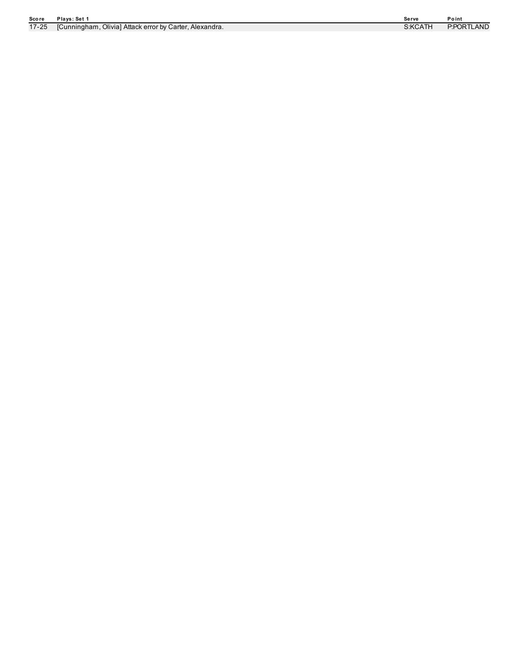| Score     | Plays: Set 1                                            | Serve   | Point      |
|-----------|---------------------------------------------------------|---------|------------|
| $17 - 25$ | [Cunningham, Olivia] Attack error by Carter, Alexandra. | S:KCATH | P:PORTLAND |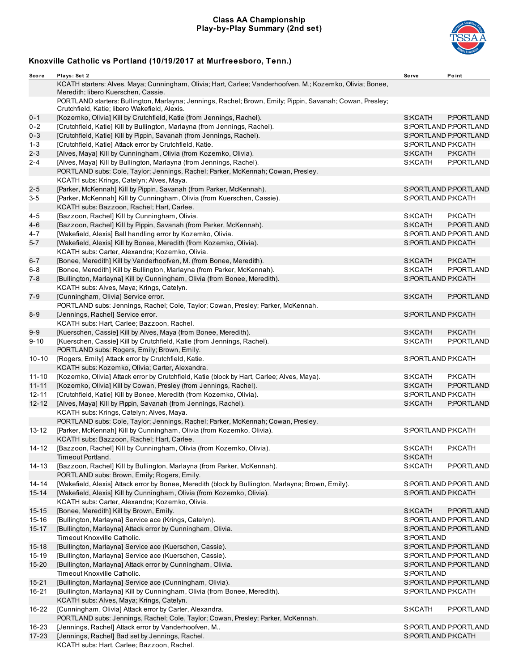#### **Class AA Championship Play-by-Play Summary (2nd set)**



| Score     | Plays: Set 2                                                                                                                                               | Serve              | Point                 |
|-----------|------------------------------------------------------------------------------------------------------------------------------------------------------------|--------------------|-----------------------|
|           | KCATH starters: Alves, Maya; Cunningham, Olivia; Hart, Carlee; Vanderhoofven, M.; Kozemko, Olivia; Bonee,<br>Meredith; libero Kuerschen, Cassie.           |                    |                       |
|           | PORTLAND starters: Bullington, Marlayna; Jennings, Rachel; Brown, Emily; Pippin, Savanah; Cowan, Presley;<br>Crutchfield, Katie; libero Wakefield, Alexis. |                    |                       |
| $0 - 1$   | [Kozemko, Olivia] Kill by Crutchfield, Katie (from Jennings, Rachel).                                                                                      | S:KCATH            | P:PORTLAND            |
| $0 - 2$   | [Crutchfield, Katie] Kill by Bullington, Marlayna (from Jennings, Rachel).                                                                                 |                    | S:PORTLAND P:PORTLAND |
| $0 - 3$   | [Crutchfield, Katie] Kill by Pippin, Savanah (from Jennings, Rachel).                                                                                      |                    | S:PORTLAND P:PORTLAND |
| $1 - 3$   | [Crutchfield, Katie] Attack error by Crutchfield, Katie.                                                                                                   | S:PORTLAND P:KCATH |                       |
| $2 - 3$   | [Alves, Maya] Kill by Cunningham, Olivia (from Kozemko, Olivia).                                                                                           | S:KCATH            | P:KCATH               |
| $2 - 4$   | [Alves, Maya] Kill by Bullington, Marlayna (from Jennings, Rachel).                                                                                        | S:KCATH            | P:PORTLAND            |
|           | PORTLAND subs: Cole, Taylor; Jennings, Rachel; Parker, McKennah; Cowan, Presley.<br>KCATH subs: Krings, Catelyn; Alves, Maya.                              |                    |                       |
| $2 - 5$   | [Parker, McKennah] Kill by Pippin, Savanah (from Parker, McKennah).                                                                                        |                    | S:PORTLAND P:PORTLAND |
| $3-5$     | [Parker, McKennah] Kill by Cunningham, Olivia (from Kuerschen, Cassie).                                                                                    | S:PORTLAND P:KCATH |                       |
|           | KCATH subs: Bazzoon, Rachel; Hart, Carlee.                                                                                                                 |                    |                       |
| 4-5       | [Bazzoon, Rachel] Kill by Cunningham, Olivia.                                                                                                              | S:KCATH            | P:KCATH               |
| $4 - 6$   |                                                                                                                                                            | S:KCATH            | P:PORTLAND            |
|           | [Bazzoon, Rachel] Kill by Pippin, Savanah (from Parker, McKennah).                                                                                         |                    | S:PORTLAND P:PORTLAND |
| 4-7       | [Wakefield, Alexis] Ball handling error by Kozemko, Olivia.                                                                                                |                    |                       |
| $5 - 7$   | [Wakefield, Alexis] Kill by Bonee, Meredith (from Kozemko, Olivia).                                                                                        | S:PORTLAND P:KCATH |                       |
|           | KCATH subs: Carter, Alexandra; Kozemko, Olivia.                                                                                                            |                    |                       |
| $6 - 7$   | [Bonee, Meredith] Kill by Vanderhoofven, M. (from Bonee, Meredith).                                                                                        | S:KCATH            | P:KCATH               |
| 6-8       | [Bonee, Meredith] Kill by Bullington, Marlayna (from Parker, McKennah).                                                                                    | S:KCATH            | P:PORTLAND            |
| $7 - 8$   | [Bullington, Marlayna] Kill by Cunningham, Olivia (from Bonee, Meredith).<br>KCATH subs: Alves, Maya; Krings, Catelyn.                                     | S:PORTLAND P:KCATH |                       |
| 7-9       | [Cunningham, Olivia] Service error.                                                                                                                        | S:KCATH            | P:PORTLAND            |
|           | PORTLAND subs: Jennings, Rachel; Cole, Taylor; Cowan, Presley; Parker, McKennah.                                                                           |                    |                       |
| $8 - 9$   | [Jennings, Rachel] Service error.                                                                                                                          | S:PORTLAND P:KCATH |                       |
|           | KCATH subs: Hart, Carlee; Bazzoon, Rachel.                                                                                                                 |                    |                       |
| $9 - 9$   | [Kuerschen, Cassie] Kill by Alves, Maya (from Bonee, Meredith).                                                                                            | S:KCATH            | P:KCATH               |
| $9 - 10$  | [Kuerschen, Cassie] Kill by Crutchfield, Katie (from Jennings, Rachel).<br>PORTLAND subs: Rogers, Emily; Brown, Emily.                                     | S:KCATH            | P:PORTLAND            |
| $10 - 10$ | [Rogers, Emily] Attack error by Crutchfield, Katie.                                                                                                        | S:PORTLAND P:KCATH |                       |
|           | KCATH subs: Kozemko, Olivia; Carter, Alexandra.                                                                                                            |                    |                       |
| $11 - 10$ | [Kozemko, Olivia] Attack error by Crutchfield, Katie (block by Hart, Carlee; Alves, Maya).                                                                 | S:KCATH            | P:KCATH               |
| $11 - 11$ | [Kozemko, Olivia] Kill by Cowan, Presley (from Jennings, Rachel).                                                                                          | S:KCATH            | P:PORTLAND            |
| 12-11     | [Crutchfield, Katie] Kill by Bonee, Meredith (from Kozemko, Olivia).                                                                                       | S:PORTLAND P:KCATH |                       |
| $12 - 12$ | [Alves, Maya] Kill by Pippin, Savanah (from Jennings, Rachel).                                                                                             | S:KCATH            | P:PORTLAND            |
|           | KCATH subs: Krings, Catelyn; Alves, Maya.                                                                                                                  |                    |                       |
|           | PORTLAND subs: Cole, Taylor; Jennings, Rachel; Parker, McKennah; Cowan, Presley.                                                                           |                    |                       |
|           | [Parker, McKennah] Kill by Cunningham, Olivia (from Kozemko, Olivia).                                                                                      | S:PORTLAND P:KCATH |                       |
| 13-12     | KCATH subs: Bazzoon, Rachel; Hart, Carlee.                                                                                                                 |                    |                       |
|           |                                                                                                                                                            |                    |                       |
| 14-12     | [Bazzoon, Rachel] Kill by Cunningham, Olivia (from Kozemko, Olivia).<br>Timeout Portland.                                                                  | S:KCATH<br>S:KCATH | P:KCATH               |
|           |                                                                                                                                                            | S:KCATH            |                       |
| 14-13     | [Bazzoon, Rachel] Kill by Bullington, Marlayna (from Parker, McKennah).<br>PORTLAND subs: Brown, Emily; Rogers, Emily.                                     |                    | P:PORTLAND            |
| $14 - 14$ | [Wakefield, Alexis] Attack error by Bonee, Meredith (block by Bullington, Marlayna; Brown, Emily).                                                         |                    | S:PORTLAND P:PORTLAND |
| $15 - 14$ | [Wakefield, Alexis] Kill by Cunningham, Olivia (from Kozemko, Olivia).                                                                                     | S:PORTLAND P:KCATH |                       |
|           | KCATH subs: Carter, Alexandra; Kozemko, Olivia.                                                                                                            |                    |                       |
| $15 - 15$ | [Bonee, Meredith] Kill by Brown, Emily.                                                                                                                    | S:KCATH            | P:PORTLAND            |
| 15-16     | [Bullington, Marlayna] Service ace (Krings, Catelyn).                                                                                                      |                    | S:PORTLAND P:PORTLAND |
| 15-17     | [Bullington, Marlayna] Attack error by Cunningham, Olivia.                                                                                                 |                    | S:PORTLAND P:PORTLAND |
|           | Timeout Knoxville Catholic.                                                                                                                                | S:PORTLAND         |                       |
| $15 - 18$ | [Bullington, Marlayna] Service ace (Kuerschen, Cassie).                                                                                                    |                    | S:PORTLAND P:PORTLAND |
| 15-19     | [Bullington, Marlayna] Service ace (Kuerschen, Cassie).                                                                                                    |                    | S:PORTLAND P:PORTLAND |
| 15-20     | [Bullington, Marlayna] Attack error by Cunningham, Olivia.                                                                                                 |                    | S:PORTLAND P:PORTLAND |
|           | Timeout Knoxville Catholic.                                                                                                                                | S:PORTLAND         |                       |
| $15 - 21$ | [Bullington, Marlayna] Service ace (Cunningham, Olivia).                                                                                                   |                    | S:PORTLAND P:PORTLAND |
| 16-21     | [Bullington, Marlayna] Kill by Cunningham, Olivia (from Bonee, Meredith).                                                                                  | S:PORTLAND P:KCATH |                       |
|           | KCATH subs: Alves, Maya; Krings, Catelyn.                                                                                                                  |                    |                       |
| 16-22     | [Cunningham, Olivia] Attack error by Carter, Alexandra.                                                                                                    | S:KCATH            | P:PORTLAND            |
|           | PORTLAND subs: Jennings, Rachel; Cole, Taylor; Cowan, Presley; Parker, McKennah.                                                                           |                    |                       |
| 16-23     | [Jennings, Rachel] Attack error by Vanderhoofven, M                                                                                                        |                    | S:PORTLAND P:PORTLAND |
| 17-23     | [Jennings, Rachel] Bad set by Jennings, Rachel.                                                                                                            | S:PORTLAND P:KCATH |                       |
|           | KCATH subs: Hart, Carlee; Bazzoon, Rachel.                                                                                                                 |                    |                       |
|           |                                                                                                                                                            |                    |                       |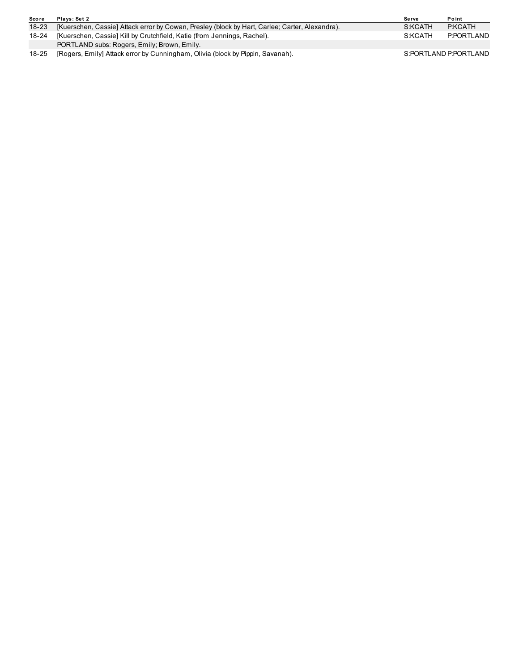| <b>Score</b> | Plays: Set 2                                                                                   | Serve   | Point                 |
|--------------|------------------------------------------------------------------------------------------------|---------|-----------------------|
| $18 - 23$    | [Kuerschen, Cassie] Attack error by Cowan, Presley (block by Hart, Carlee; Carter, Alexandra). | S:KCATH | P:KCATH               |
| $18 - 24$    | [Kuerschen, Cassie] Kill by Crutchfield, Katie (from Jennings, Rachel).                        | S:KCATH | P:PORTLAND            |
|              | PORTLAND subs: Rogers, Emily; Brown, Emily.                                                    |         |                       |
| $18 - 25$    | [Rogers, Emily] Attack error by Cunningham, Olivia (block by Pippin, Savanah).                 |         | S:PORTLAND P:PORTLAND |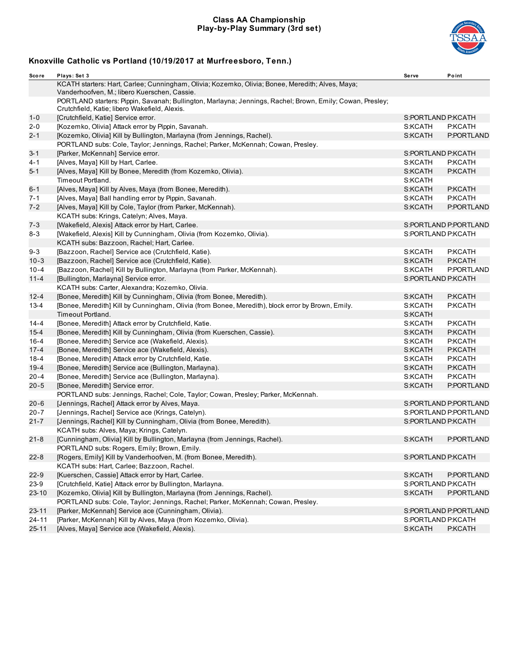#### **Class AA Championship Play-by-Play Summary (3rd set)**



| Sco re    | Plays: Set 3                                                                                                                                               | Serve              | Point                 |
|-----------|------------------------------------------------------------------------------------------------------------------------------------------------------------|--------------------|-----------------------|
|           | KCATH starters: Hart, Carlee; Cunningham, Olivia; Kozemko, Olivia; Bonee, Meredith; Alves, Maya;<br>Vanderhoofven, M.; libero Kuerschen, Cassie.           |                    |                       |
|           | PORTLAND starters: Pippin, Savanah; Bullington, Marlayna; Jennings, Rachel; Brown, Emily; Cowan, Presley;<br>Crutchfield, Katie; libero Wakefield, Alexis. |                    |                       |
| $1 - 0$   | [Crutchfield, Katie] Service error.                                                                                                                        | S:PORTLAND P:KCATH |                       |
| 2-0       | [Kozemko, Olivia] Attack error by Pippin, Savanah.                                                                                                         | S:KCATH            | P:KCATH               |
| $2 - 1$   | [Kozemko, Olivia] Kill by Bullington, Marlayna (from Jennings, Rachel).                                                                                    | S:KCATH            | P:PORTLAND            |
|           | PORTLAND subs: Cole, Taylor; Jennings, Rachel; Parker, McKennah; Cowan, Presley.                                                                           |                    |                       |
| $3 - 1$   | [Parker, McKennah] Service error.                                                                                                                          | S:PORTLAND P:KCATH |                       |
| 4-1       | [Alves, Maya] Kill by Hart, Carlee.                                                                                                                        | S:KCATH            | P:KCATH               |
| $5 - 1$   | [Alves, Maya] Kill by Bonee, Meredith (from Kozemko, Olivia).                                                                                              | S:KCATH            | P:KCATH               |
|           | Timeout Portland.                                                                                                                                          | S:KCATH            |                       |
| $6 - 1$   | [Alves, Maya] Kill by Alves, Maya (from Bonee, Meredith).                                                                                                  | S:KCATH            | P:KCATH               |
| 7-1       | [Alves, Maya] Ball handling error by Pippin, Savanah.                                                                                                      | S:KCATH            | P:KCATH               |
| $7 - 2$   | [Alves, Maya] Kill by Cole, Taylor (from Parker, McKennah).                                                                                                | S:KCATH            | P:PORTLAND            |
|           | KCATH subs: Krings, Catelyn; Alves, Maya.                                                                                                                  |                    |                       |
| $7 - 3$   | [Wakefield, Alexis] Attack error by Hart, Carlee.                                                                                                          |                    | S:PORTLAND P:PORTLAND |
| 8-3       | [Wakefield, Alexis] Kill by Cunningham, Olivia (from Kozemko, Olivia).                                                                                     | S:PORTLAND P:KCATH |                       |
|           | KCATH subs: Bazzoon, Rachel; Hart, Carlee.                                                                                                                 |                    |                       |
| $9 - 3$   | [Bazzoon, Rachel] Service ace (Crutchfield, Katie).                                                                                                        | S:KCATH            | P:KCATH               |
| $10 - 3$  | [Bazzoon, Rachel] Service ace (Crutchfield, Katie).                                                                                                        | S:KCATH            | P:KCATH               |
| $10 - 4$  | [Bazzoon, Rachel] Kill by Bullington, Marlayna (from Parker, McKennah).                                                                                    | S:KCATH            | P:PORTLAND            |
| $11 - 4$  | [Bullington, Marlayna] Service error.                                                                                                                      | S:PORTLAND P:KCATH |                       |
|           | KCATH subs: Carter, Alexandra; Kozemko, Olivia.                                                                                                            |                    |                       |
| $12 - 4$  | [Bonee, Meredith] Kill by Cunningham, Olivia (from Bonee, Meredith).                                                                                       | S:KCATH            | P:KCATH               |
| $13 - 4$  | [Bonee, Meredith] Kill by Cunningham, Olivia (from Bonee, Meredith), block error by Brown, Emily.                                                          | S:KCATH            | P:KCATH               |
|           | Timeout Portland.                                                                                                                                          | S:KCATH            |                       |
| $14 - 4$  | [Bonee, Meredith] Attack error by Crutchfield, Katie.                                                                                                      | S:KCATH            | P:KCATH               |
| $15 - 4$  | [Bonee, Meredith] Kill by Cunningham, Olivia (from Kuerschen, Cassie).                                                                                     | S:KCATH            | P:KCATH               |
| 16-4      | [Bonee, Meredith] Service ace (Wakefield, Alexis).                                                                                                         | S:KCATH            | P:KCATH               |
| $17 - 4$  | [Bonee, Meredith] Service ace (Wakefield, Alexis).                                                                                                         | S:KCATH            | P:KCATH               |
| $18 - 4$  | [Bonee, Meredith] Attack error by Crutchfield, Katie.                                                                                                      | S:KCATH            | P:KCATH               |
| $19 - 4$  | [Bonee, Meredith] Service ace (Bullington, Marlayna).                                                                                                      | S:KCATH            | P:KCATH               |
| $20 - 4$  | [Bonee, Meredith] Service ace (Bullington, Marlayna).                                                                                                      | S:KCATH            | P:KCATH               |
| $20 - 5$  | [Bonee, Meredith] Service error.                                                                                                                           | S:KCATH            | P:PORTLAND            |
|           | PORTLAND subs: Jennings, Rachel; Cole, Taylor; Cowan, Presley; Parker, McKennah.                                                                           |                    |                       |
| $20 - 6$  | [Jennings, Rachel] Attack error by Alves, Maya.                                                                                                            |                    | S:PORTLAND P:PORTLAND |
| $20 - 7$  | [Jennings, Rachel] Service ace (Krings, Catelyn).                                                                                                          |                    | S:PORTLAND P:PORTLAND |
| 21-7      | [Jennings, Rachel] Kill by Cunningham, Olivia (from Bonee, Meredith).                                                                                      | S:PORTLAND P:KCATH |                       |
|           | KCATH subs: Alves, Maya; Krings, Catelyn.                                                                                                                  |                    |                       |
| $21 - 8$  | [Cunningham, Olivia] Kill by Bullington, Marlayna (from Jennings, Rachel).                                                                                 | S:KCATH            | P:PORTLAND            |
|           | PORTLAND subs: Rogers, Emily; Brown, Emily.                                                                                                                |                    |                       |
| $22 - 8$  | [Rogers, Emily] Kill by Vanderhoofven, M. (from Bonee, Meredith).                                                                                          | S:PORTLAND P:KCATH |                       |
|           | KCATH subs: Hart, Carlee; Bazzoon, Rachel.                                                                                                                 |                    |                       |
| $22 - 9$  | [Kuerschen, Cassie] Attack error by Hart, Carlee.                                                                                                          | S:KCATH            | P:PORTLAND            |
| $23-9$    | [Crutchfield, Katie] Attack error by Bullington, Marlayna.                                                                                                 | S:PORTLAND P:KCATH |                       |
| $23 - 10$ | [Kozemko, Olivia] Kill by Bullington, Marlayna (from Jennings, Rachel).                                                                                    | S:KCATH            | P:PORTLAND            |
|           | PORTLAND subs: Cole, Taylor; Jennings, Rachel; Parker, McKennah; Cowan, Presley.                                                                           |                    |                       |
| $23 - 11$ | [Parker, McKennah] Service ace (Cunningham, Olivia).                                                                                                       |                    | S:PORTLAND P:PORTLAND |
| $24 - 11$ | [Parker, McKennah] Kill by Alves, Maya (from Kozemko, Olivia).                                                                                             | S:PORTLAND P:KCATH |                       |
| $25 - 11$ | [Alves, Maya] Service ace (Wakefield, Alexis).                                                                                                             | S:KCATH            | P:KCATH               |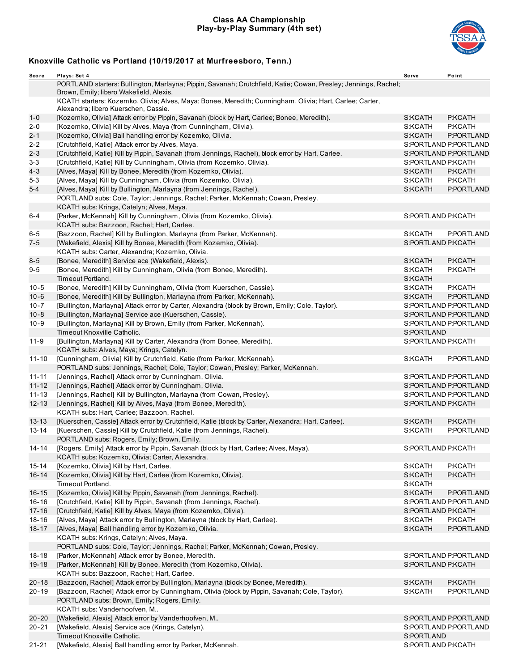#### **Class AA Championship Play-by-Play Summary (4th set)**



| Score     | Plays: Set 4                                                                                                                                               | Serve              | Point                 |
|-----------|------------------------------------------------------------------------------------------------------------------------------------------------------------|--------------------|-----------------------|
|           | PORTLAND starters: Bullington, Marlayna; Pippin, Savanah; Crutchfield, Katie; Cowan, Presley; Jennings, Rachel;<br>Brown, Emily; libero Wakefield, Alexis. |                    |                       |
|           | KCATH starters: Kozemko, Olivia; Alves, Maya; Bonee, Meredith; Cunningham, Olivia; Hart, Carlee; Carter,<br>Alexandra; libero Kuerschen, Cassie.           |                    |                       |
| $1 - 0$   | [Kozemko, Olivia] Attack error by Pippin, Savanah (block by Hart, Carlee; Bonee, Meredith).                                                                | S:KCATH            | P:KCATH               |
| $2 - 0$   | [Kozemko, Olivia] Kill by Alves, Maya (from Cunningham, Olivia).                                                                                           | S:KCATH            | P:KCATH               |
| $2 - 1$   | [Kozemko, Olivia] Ball handling error by Kozemko, Olivia.                                                                                                  | S:KCATH            | P:PORTLAND            |
| 2-2       | [Crutchfield, Katie] Attack error by Alves, Maya.                                                                                                          |                    | S:PORTLAND P:PORTLAND |
| $2 - 3$   | [Crutchfield, Katie] Kill by Pippin, Savanah (from Jennings, Rachel), block error by Hart, Carlee.                                                         |                    | S:PORTLAND P:PORTLAND |
| $3 - 3$   | [Crutchfield, Katie] Kill by Cunningham, Olivia (from Kozemko, Olivia).                                                                                    | S:PORTLAND P:KCATH |                       |
| $4 - 3$   | [Alves, Maya] Kill by Bonee, Meredith (from Kozemko, Olivia).                                                                                              | S:KCATH            | P:KCATH               |
| 5-3       | [Alves, Maya] Kill by Cunningham, Olivia (from Kozemko, Olivia).                                                                                           | S:KCATH            | P:KCATH               |
| $5 - 4$   | [Alves, Maya] Kill by Bullington, Marlayna (from Jennings, Rachel).                                                                                        | S:KCATH            | P:PORTLAND            |
|           | PORTLAND subs: Cole, Taylor; Jennings, Rachel; Parker, McKennah; Cowan, Presley.                                                                           |                    |                       |
|           | KCATH subs: Krings, Catelyn; Alves, Maya.                                                                                                                  |                    |                       |
| $6 - 4$   | [Parker, McKennah] Kill by Cunningham, Olivia (from Kozemko, Olivia).                                                                                      | S:PORTLAND P:KCATH |                       |
|           | KCATH subs: Bazzoon, Rachel; Hart, Carlee.                                                                                                                 |                    |                       |
| 6-5       | [Bazzoon, Rachel] Kill by Bullington, Marlayna (from Parker, McKennah).                                                                                    | S:KCATH            | P:PORTLAND            |
| $7 - 5$   | [Wakefield, Alexis] Kill by Bonee, Meredith (from Kozemko, Olivia).                                                                                        | S:PORTLAND P:KCATH |                       |
|           | KCATH subs: Carter, Alexandra; Kozemko, Olivia.                                                                                                            |                    |                       |
| $8 - 5$   | [Bonee, Meredith] Service ace (Wakefield, Alexis).                                                                                                         | S:KCATH            | P:KCATH               |
| $9 - 5$   | [Bonee, Meredith] Kill by Cunningham, Olivia (from Bonee, Meredith).                                                                                       | S:KCATH            | P:KCATH               |
|           | Timeout Portland.                                                                                                                                          | S:KCATH            |                       |
| $10 - 5$  | [Bonee, Meredith] Kill by Cunningham, Olivia (from Kuerschen, Cassie).                                                                                     | S:KCATH            | P:KCATH               |
| $10 - 6$  | [Bonee, Meredith] Kill by Bullington, Marlayna (from Parker, McKennah).                                                                                    | S:KCATH            | P:PORTLAND            |
| $10 - 7$  | [Bullington, Marlayna] Attack error by Carter, Alexandra (block by Brown, Emily; Cole, Taylor).                                                            |                    | S:PORTLAND P:PORTLAND |
| $10 - 8$  | [Bullington, Marlayna] Service ace (Kuerschen, Cassie).                                                                                                    |                    | S:PORTLAND P:PORTLAND |
| $10 - 9$  | [Bullington, Marlayna] Kill by Brown, Emily (from Parker, McKennah).                                                                                       |                    | S:PORTLAND P:PORTLAND |
|           | Timeout Knoxville Catholic.                                                                                                                                | S:PORTLAND         |                       |
| 11-9      | [Bullington, Marlayna] Kill by Carter, Alexandra (from Bonee, Meredith).                                                                                   | S:PORTLAND P:KCATH |                       |
|           | KCATH subs: Alves, Maya; Krings, Catelyn.                                                                                                                  |                    |                       |
| $11 - 10$ | [Cunningham, Olivia] Kill by Crutchfield, Katie (from Parker, McKennah).                                                                                   | S:KCATH            | P:PORTLAND            |
|           | PORTLAND subs: Jennings, Rachel; Cole, Taylor; Cowan, Presley; Parker, McKennah.                                                                           |                    |                       |
| $11 - 11$ | [Jennings, Rachel] Attack error by Cunningham, Olivia.                                                                                                     |                    | S:PORTLAND P:PORTLAND |
| $11 - 12$ | [Jennings, Rachel] Attack error by Cunningham, Olivia.                                                                                                     |                    | S:PORTLAND P:PORTLAND |
| 11-13     | [Jennings, Rachel] Kill by Bullington, Marlayna (from Cowan, Presley).                                                                                     |                    | S:PORTLAND P:PORTLAND |
| $12 - 13$ | [Jennings, Rachel] Kill by Alves, Maya (from Bonee, Meredith).                                                                                             | S:PORTLAND P:KCATH |                       |
|           | KCATH subs: Hart, Carlee; Bazzoon, Rachel.                                                                                                                 |                    |                       |
| $13 - 13$ | [Kuerschen, Cassie] Attack error by Crutchfield, Katie (block by Carter, Alexandra; Hart, Carlee).                                                         | S:KCATH            | P:KCATH               |
| 13-14     | [Kuerschen, Cassie] Kill by Crutchfield, Katie (from Jennings, Rachel).                                                                                    | S:KCATH            | P:PORTLAND            |
|           | PORTLAND subs: Rogers, Emily; Brown, Emily.                                                                                                                |                    |                       |
| 14-14     | [Rogers, Emily] Attack error by Pippin, Savanah (block by Hart, Carlee; Alves, Maya).                                                                      | S:PORTLAND P:KCATH |                       |
|           | KCATH subs: Kozemko, Olivia; Carter, Alexandra.                                                                                                            |                    |                       |
| 15-14     | [Kozemko, Olivia] Kill by Hart, Carlee.                                                                                                                    | S:KCATH            | P:KCATH               |
| $16 - 14$ | [Kozemko, Olivia] Kill by Hart, Carlee (from Kozemko, Olivia).                                                                                             | S:KCATH            | P:KCATH               |
|           | Timeout Portland.                                                                                                                                          | S:KCATH            |                       |
| $16 - 15$ | [Kozemko, Olivia] Kill by Pippin, Savanah (from Jennings, Rachel).                                                                                         | S:KCATH            | P:PORTLAND            |
| $16 - 16$ | [Crutchfield, Katie] Kill by Pippin, Savanah (from Jennings, Rachel).                                                                                      |                    | S:PORTLAND P:PORTLAND |
| $17 - 16$ | [Crutchfield, Katie] Kill by Alves, Maya (from Kozemko, Olivia).                                                                                           | S:PORTLAND P:KCATH |                       |
| $18 - 16$ | [Alves, Maya] Attack error by Bullington, Marlayna (block by Hart, Carlee).                                                                                | S:KCATH            | P:KCATH               |
| $18 - 17$ | [Alves, Maya] Ball handling error by Kozemko, Olivia.                                                                                                      | S:KCATH            | P:PORTLAND            |
|           | KCATH subs: Krings, Catelyn; Alves, Maya.                                                                                                                  |                    |                       |
|           | PORTLAND subs: Cole, Taylor; Jennings, Rachel; Parker, McKennah; Cowan, Presley.                                                                           |                    |                       |
| $18 - 18$ | [Parker, McKennah] Attack error by Bonee, Meredith.                                                                                                        |                    | S:PORTLAND P:PORTLAND |
| $19 - 18$ | [Parker, McKennah] Kill by Bonee, Meredith (from Kozemko, Olivia).                                                                                         | S:PORTLAND P:KCATH |                       |
|           | KCATH subs: Bazzoon, Rachel; Hart, Carlee.                                                                                                                 |                    |                       |
| $20 - 18$ | [Bazzoon, Rachel] Attack error by Bullington, Marlayna (block by Bonee, Meredith).                                                                         | S:KCATH            | P:KCATH               |
| $20 - 19$ | [Bazzoon, Rachel] Attack error by Cunningham, Olivia (block by Pippin, Savanah; Cole, Taylor).                                                             | S:KCATH            | P:PORTLAND            |
|           | PORTLAND subs: Brown, Emily; Rogers, Emily.                                                                                                                |                    |                       |
|           | KCATH subs: Vanderhoofven, M                                                                                                                               |                    |                       |
| $20 - 20$ | [Wakefield, Alexis] Attack error by Vanderhoofven, M                                                                                                       |                    | S:PORTLAND P:PORTLAND |
| $20 - 21$ | [Wakefield, Alexis] Service ace (Krings, Catelyn).                                                                                                         |                    | S:PORTLAND P:PORTLAND |
|           | Timeout Knoxville Catholic.                                                                                                                                | S:PORTLAND         |                       |
| $21 - 21$ | [Wakefield, Alexis] Ball handling error by Parker, McKennah.                                                                                               | S:PORTLAND P:KCATH |                       |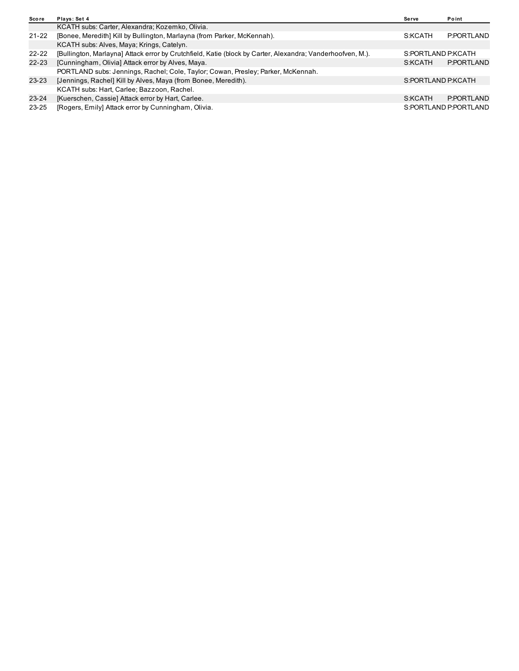| Score     | Plays: Set 4                                                                                               | Serve              | Point                 |
|-----------|------------------------------------------------------------------------------------------------------------|--------------------|-----------------------|
|           | KCATH subs: Carter, Alexandra; Kozemko, Olivia.                                                            |                    |                       |
| $21 - 22$ | [Bonee, Meredith] Kill by Bullington, Marlayna (from Parker, McKennah).                                    | S:KCATH            | P:PORTLAND            |
|           | KCATH subs: Alves, Maya; Krings, Catelyn.                                                                  |                    |                       |
| $22 - 22$ | [Bullington, Marlayna] Attack error by Crutchfield, Katie (block by Carter, Alexandra; Vanderhoofven, M.). | S:PORTLAND P:KCATH |                       |
| 22-23     | [Cunningham, Olivia] Attack error by Alves, Maya.                                                          | S:KCATH            | P:PORTLAND            |
|           | PORTLAND subs: Jennings, Rachel; Cole, Taylor; Cowan, Presley; Parker, McKennah.                           |                    |                       |
| $23 - 23$ | [Jennings, Rachel] Kill by Alves, Maya (from Bonee, Meredith).                                             | S:PORTLAND P:KCATH |                       |
|           | KCATH subs: Hart, Carlee; Bazzoon, Rachel.                                                                 |                    |                       |
| $23 - 24$ | [Kuerschen, Cassie] Attack error by Hart, Carlee.                                                          | S:KCATH            | P:PORTLAND            |
| $23 - 25$ | [Rogers, Emily] Attack error by Cunningham, Olivia.                                                        |                    | S:PORTLAND P:PORTLAND |